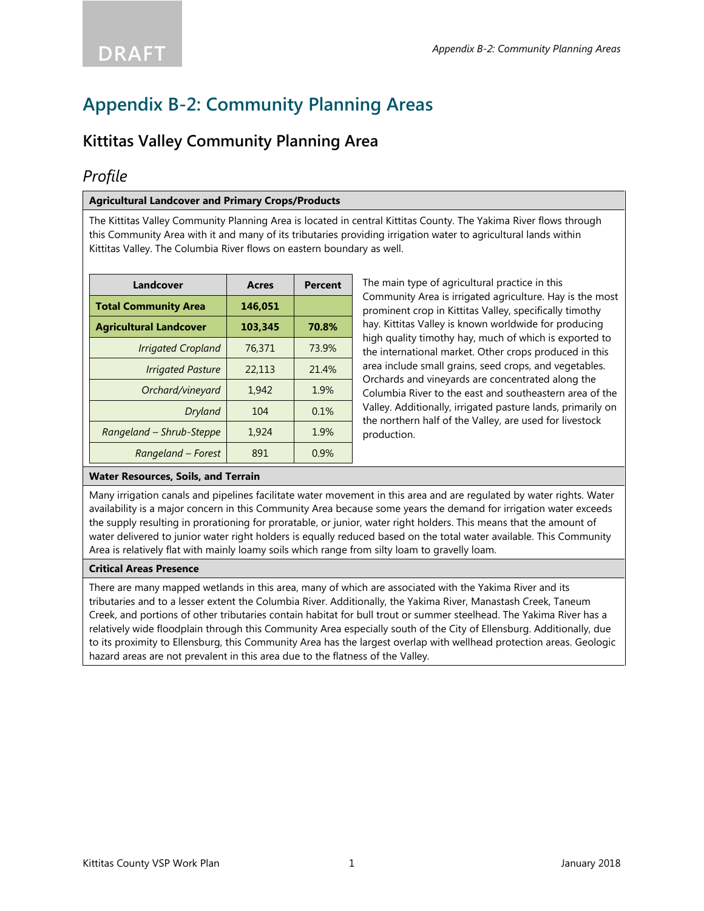## **Kittitas Valley Community Planning Area**

## *Profile*

#### **Agricultural Landcover and Primary Crops/Products**

The Kittitas Valley Community Planning Area is located in central Kittitas County. The Yakima River flows through this Community Area with it and many of its tributaries providing irrigation water to agricultural lands within Kittitas Valley. The Columbia River flows on eastern boundary as well.

| Landcover                     | Acres   | Percent |
|-------------------------------|---------|---------|
| <b>Total Community Area</b>   | 146.051 |         |
| <b>Agricultural Landcover</b> | 103,345 | 70.8%   |
| <b>Irrigated Cropland</b>     | 76,371  | 73.9%   |
| <b>Irrigated Pasture</b>      | 22,113  | 21.4%   |
| Orchard/vineyard              | 1.942   | 1.9%    |
| Dryland                       | 104     | 0.1%    |
| Rangeland - Shrub-Steppe      | 1,924   | 1.9%    |
| Rangeland – Forest            | 891     | 0.9%    |

The main type of agricultural practice in this Community Area is irrigated agriculture. Hay is the most prominent crop in Kittitas Valley, specifically timothy hay. Kittitas Valley is known worldwide for producing high quality timothy hay, much of which is exported to the international market. Other crops produced in this area include small grains, seed crops, and vegetables. Orchards and vineyards are concentrated along the Columbia River to the east and southeastern area of the Valley. Additionally, irrigated pasture lands, primarily on the northern half of the Valley, are used for livestock production.

### **Water Resources, Soils, and Terrain**

Many irrigation canals and pipelines facilitate water movement in this area and are regulated by water rights. Water availability is a major concern in this Community Area because some years the demand for irrigation water exceeds the supply resulting in prorationing for proratable, or junior, water right holders. This means that the amount of water delivered to junior water right holders is equally reduced based on the total water available. This Community Area is relatively flat with mainly loamy soils which range from silty loam to gravelly loam.

#### **Critical Areas Presence**

There are many mapped wetlands in this area, many of which are associated with the Yakima River and its tributaries and to a lesser extent the Columbia River. Additionally, the Yakima River, Manastash Creek, Taneum Creek, and portions of other tributaries contain habitat for bull trout or summer steelhead. The Yakima River has a relatively wide floodplain through this Community Area especially south of the City of Ellensburg. Additionally, due to its proximity to Ellensburg, this Community Area has the largest overlap with wellhead protection areas. Geologic hazard areas are not prevalent in this area due to the flatness of the Valley.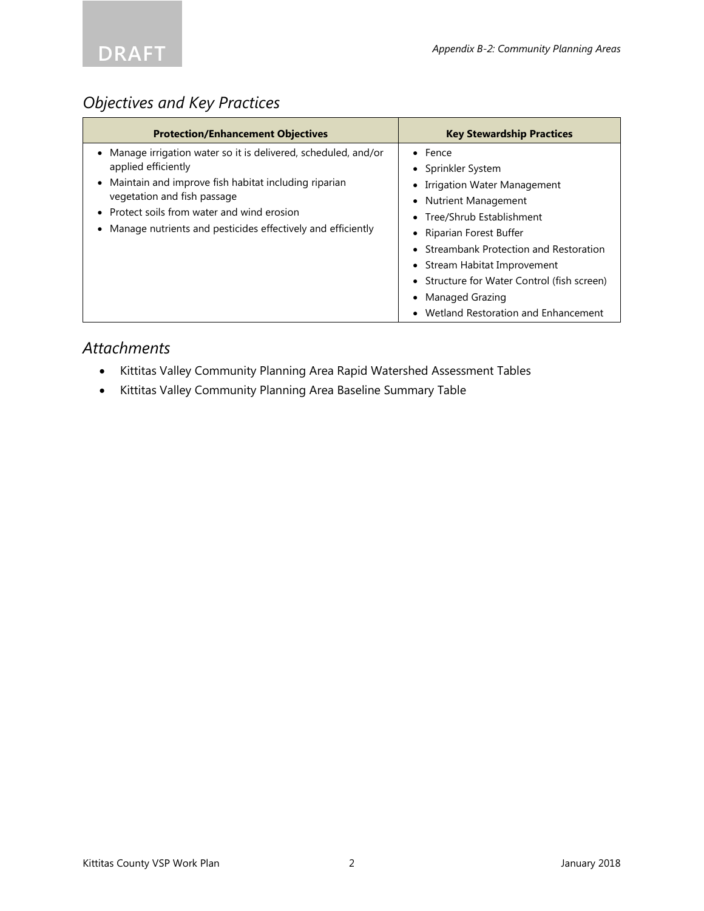

# *Objectives and Key Practices*

| <b>Protection/Enhancement Objectives</b>                                                                                                                                                                                                                                                | <b>Key Stewardship Practices</b>                                                                                                                                                                                                                                                                                                                |
|-----------------------------------------------------------------------------------------------------------------------------------------------------------------------------------------------------------------------------------------------------------------------------------------|-------------------------------------------------------------------------------------------------------------------------------------------------------------------------------------------------------------------------------------------------------------------------------------------------------------------------------------------------|
| Manage irrigation water so it is delivered, scheduled, and/or<br>applied efficiently<br>Maintain and improve fish habitat including riparian<br>vegetation and fish passage<br>Protect soils from water and wind erosion<br>Manage nutrients and pesticides effectively and efficiently | $\bullet$ Fence<br>• Sprinkler System<br>Irrigation Water Management<br>• Nutrient Management<br>• Tree/Shrub Establishment<br>• Riparian Forest Buffer<br>• Streambank Protection and Restoration<br>• Stream Habitat Improvement<br>• Structure for Water Control (fish screen)<br>• Managed Grazing<br>• Wetland Restoration and Enhancement |

## *Attachments*

- Kittitas Valley Community Planning Area Rapid Watershed Assessment Tables
- Kittitas Valley Community Planning Area Baseline Summary Table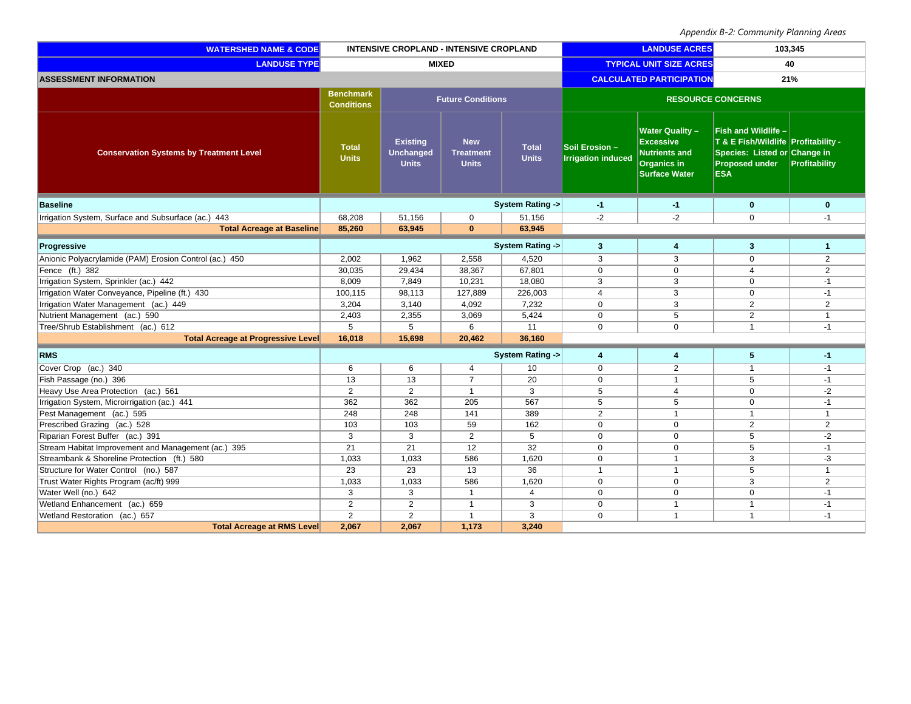| <b>WATERSHED NAME &amp; CODE</b>                       |                                       | INTENSIVE CROPLAND - INTENSIVE CROPLAND             |                                                |                                | <b>LANDUSE ACRES</b>                        |                                                                                                           | 103,345                                                                                                                           |                |
|--------------------------------------------------------|---------------------------------------|-----------------------------------------------------|------------------------------------------------|--------------------------------|---------------------------------------------|-----------------------------------------------------------------------------------------------------------|-----------------------------------------------------------------------------------------------------------------------------------|----------------|
| <b>LANDUSE TYPE</b>                                    | <b>MIXED</b>                          |                                                     |                                                | <b>TYPICAL UNIT SIZE ACRES</b> |                                             | 40                                                                                                        |                                                                                                                                   |                |
| <b>ASSESSMENT INFORMATION</b>                          |                                       |                                                     |                                                |                                |                                             | <b>CALCULATED PARTICIPATION</b>                                                                           | 21%                                                                                                                               |                |
|                                                        | <b>Benchmark</b><br><b>Conditions</b> | <b>Future Conditions</b>                            |                                                |                                | <b>RESOURCE CONCERNS</b>                    |                                                                                                           |                                                                                                                                   |                |
| <b>Conservation Systems by Treatment Level</b>         | <b>Total</b><br><b>Units</b>          | <b>Existing</b><br><b>Unchanged</b><br><b>Units</b> | <b>New</b><br><b>Treatment</b><br><b>Units</b> | <b>Total</b><br><b>Units</b>   | Soil Erosion -<br><b>Irrigation induced</b> | <b>Water Quality -</b><br><b>Excessive</b><br><b>Nutrients and</b><br>Organics in<br><b>Surface Water</b> | Fish and Wildlife -<br>T & E Fish/Wildlife Profitability -<br>Species: Listed or Change in<br><b>Proposed under</b><br><b>ESA</b> | Profitability  |
| <b>Baseline</b>                                        |                                       |                                                     |                                                | <b>System Rating -&gt;</b>     | $-1$                                        | $-1$                                                                                                      | $\bf{0}$                                                                                                                          | $\bf{0}$       |
| Irrigation System, Surface and Subsurface (ac.) 443    | 68,208                                | 51,156                                              | $\mathbf 0$                                    | 51,156                         | $-2$                                        | $-2$                                                                                                      | $\mathbf 0$                                                                                                                       | $-1$           |
| <b>Total Acreage at Baseline</b>                       | 85,260                                | 63,945                                              | $\mathbf{0}$                                   | 63,945                         |                                             |                                                                                                           |                                                                                                                                   |                |
| Progressive                                            |                                       | System Rating ->                                    |                                                | $\mathbf{3}$                   | $\overline{\mathbf{4}}$                     | 3                                                                                                         | 1                                                                                                                                 |                |
| Anionic Polyacrylamide (PAM) Erosion Control (ac.) 450 | 2,002                                 | 1,962                                               | 2,558                                          | 4,520                          | 3                                           | 3                                                                                                         | $\mathbf 0$                                                                                                                       | 2              |
| Fence (ft.) 382                                        | 30,035                                | 29,434                                              | 38,367                                         | 67,801                         | $\mathbf 0$                                 | $\Omega$                                                                                                  | $\overline{4}$                                                                                                                    | $\overline{2}$ |
| Irrigation System, Sprinkler (ac.) 442                 | 8,009                                 | 7,849                                               | 10,231                                         | 18,080                         | 3                                           | 3                                                                                                         | $\mathbf 0$                                                                                                                       | $-1$           |
| Irrigation Water Conveyance, Pipeline (ft.) 430        | 100,115                               | 98,113                                              | 127,889                                        | 226,003                        | $\overline{4}$                              | 3                                                                                                         | $\mathbf 0$                                                                                                                       | $-1$           |
| Irrigation Water Management (ac.) 449                  | 3,204                                 | 3,140                                               | 4,092                                          | 7,232                          | $\mathbf 0$                                 | 3                                                                                                         | 2                                                                                                                                 | 2              |
| Nutrient Management (ac.) 590                          | 2,403                                 | 2,355                                               | 3,069                                          | 5,424                          | $\mathbf 0$                                 | 5                                                                                                         | 2                                                                                                                                 | $\mathbf{1}$   |
| Tree/Shrub Establishment (ac.) 612                     | 5                                     | 5                                                   | 6                                              | 11                             | $\Omega$                                    | $\Omega$                                                                                                  | $\mathbf{1}$                                                                                                                      | $-1$           |
| <b>Total Acreage at Progressive Level</b>              | 16,018                                | 15,698                                              | 20,462                                         | 36,160                         |                                             |                                                                                                           |                                                                                                                                   |                |
| <b>RMS</b>                                             |                                       |                                                     |                                                | <b>System Rating -&gt;</b>     | $\overline{4}$                              | 4                                                                                                         | 5                                                                                                                                 | $-1$           |
| Cover Crop (ac.) 340                                   | 6                                     | 6                                                   | $\overline{4}$                                 | 10                             | $\mathbf 0$                                 | 2                                                                                                         | $\mathbf{1}$                                                                                                                      | $-1$           |
| Fish Passage (no.) 396                                 | 13                                    | 13                                                  | $\overline{7}$                                 | 20                             | $\mathbf 0$                                 | $\overline{1}$                                                                                            | 5                                                                                                                                 | $-1$           |
| Heavy Use Area Protection (ac.) 561                    | $\overline{2}$                        | 2                                                   | $\mathbf{1}$                                   | 3                              | 5                                           | $\overline{4}$                                                                                            | $\mathbf 0$                                                                                                                       | $-2$           |
| Irrigation System, Microirrigation (ac.) 441           | 362                                   | 362                                                 | 205                                            | 567                            | $\overline{5}$                              | 5                                                                                                         | $\mathbf 0$                                                                                                                       | $-1$           |
| Pest Management (ac.) 595                              | 248                                   | 248                                                 | 141                                            | 389                            | 2                                           | $\mathbf{1}$                                                                                              | $\mathbf{1}$                                                                                                                      | $\mathbf{1}$   |
| Prescribed Grazing (ac.) 528                           | 103                                   | 103                                                 | 59                                             | 162                            | $\mathbf 0$                                 | $\Omega$                                                                                                  | 2                                                                                                                                 | $\overline{2}$ |
| Riparian Forest Buffer (ac.) 391                       | 3                                     | 3                                                   | $\overline{2}$                                 | 5                              | $\mathbf 0$                                 | $\mathbf 0$                                                                                               | 5                                                                                                                                 | $-2$           |
| Stream Habitat Improvement and Management (ac.) 395    | $\overline{21}$                       | $\overline{21}$                                     | $\overline{12}$                                | 32                             | $\mathbf 0$                                 | $\mathbf 0$                                                                                               | 5                                                                                                                                 | $-1$           |
| Streambank & Shoreline Protection (ft.) 580            | 1,033                                 | 1,033                                               | 586                                            | 1,620                          | $\mathbf 0$                                 | $\overline{1}$                                                                                            | 3                                                                                                                                 | -3             |
| Structure for Water Control (no.) 587                  | 23                                    | 23                                                  | 13                                             | 36                             | $\overline{1}$                              | $\overline{1}$                                                                                            | 5                                                                                                                                 | $\mathbf{1}$   |
| Trust Water Rights Program (ac/ft) 999                 | 1,033                                 | 1,033                                               | 586                                            | 1,620                          | $\mathbf 0$                                 | $\Omega$                                                                                                  | 3                                                                                                                                 | $\overline{2}$ |
| Water Well (no.) 642                                   | 3                                     | 3                                                   | $\mathbf{1}$                                   | $\overline{4}$                 | $\overline{0}$                              | $\mathbf 0$                                                                                               | $\mathbf 0$                                                                                                                       | $-1$           |
| Wetland Enhancement (ac.) 659                          | $\mathbf{2}$                          | $\mathbf{2}$                                        | $\mathbf{1}$                                   | 3                              | $\mathbf 0$                                 | $\overline{1}$                                                                                            | $\mathbf{1}$                                                                                                                      | $-1$           |
| Wetland Restoration (ac.) 657                          | $\overline{2}$                        | 2                                                   | $\mathbf{1}$                                   | 3                              | $\Omega$                                    | $\overline{1}$                                                                                            | $\mathbf{1}$                                                                                                                      | $-1$           |
| <b>Total Acreage at RMS Level</b>                      | 2,067                                 | 2,067                                               | 1,173                                          | 3,240                          |                                             |                                                                                                           |                                                                                                                                   |                |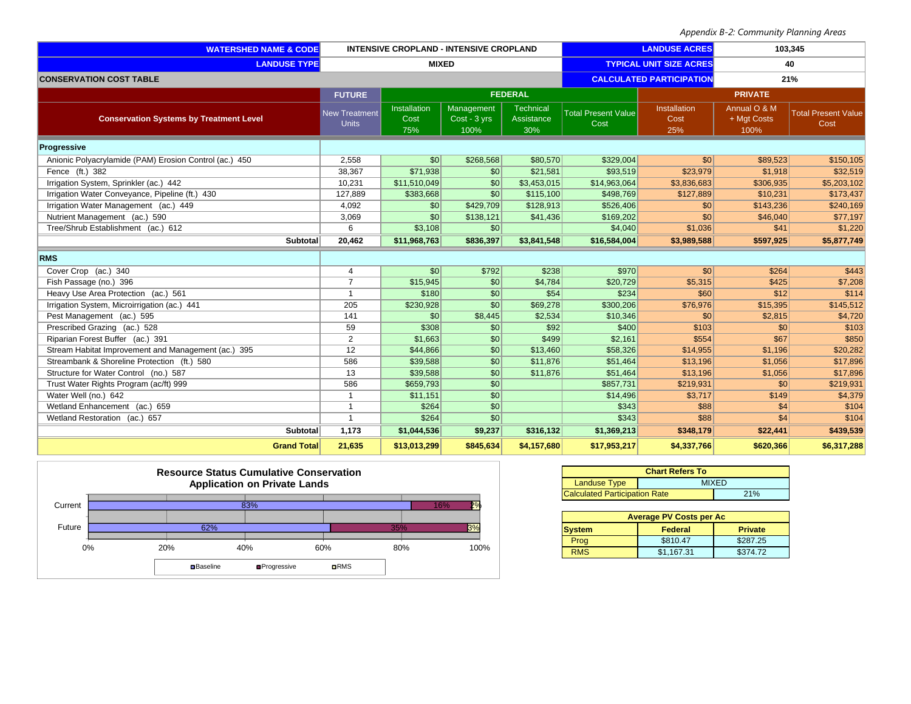| <b>WATERSHED NAME &amp; CODE</b>                       | <b>INTENSIVE CROPLAND - INTENSIVE CROPLAND</b> |                             | <b>LANDUSE ACRES</b>               |                                | 103,345                            |                             |                                     |                                    |
|--------------------------------------------------------|------------------------------------------------|-----------------------------|------------------------------------|--------------------------------|------------------------------------|-----------------------------|-------------------------------------|------------------------------------|
| <b>LANDUSE TYPE</b>                                    | <b>MIXED</b>                                   |                             | <b>TYPICAL UNIT SIZE ACRES</b>     |                                |                                    | 40                          |                                     |                                    |
| <b>CONSERVATION COST TABLE</b>                         |                                                |                             |                                    |                                | <b>CALCULATED PARTICIPATION</b>    |                             |                                     | 21%                                |
|                                                        | <b>FUTURE</b>                                  |                             |                                    | <b>FEDERAL</b>                 |                                    |                             | <b>PRIVATE</b>                      |                                    |
| <b>Conservation Systems by Treatment Level</b>         | <b>New Treatment</b><br><b>Units</b>           | Installation<br>Cost<br>75% | Management<br>Cost - 3 yrs<br>100% | Technical<br>Assistance<br>30% | <b>Total Present Value</b><br>Cost | Installation<br>Cost<br>25% | Annual O & M<br>+ Mgt Costs<br>100% | <b>Total Present Value</b><br>Cost |
| Progressive                                            |                                                |                             |                                    |                                |                                    |                             |                                     |                                    |
| Anionic Polyacrylamide (PAM) Erosion Control (ac.) 450 | 2,558                                          | $\frac{1}{2}$               | \$268,568                          | \$80,570                       | \$329,004                          | $\vert \mathsf{S}0 \vert$   | \$89,523                            | \$150,105                          |
| Fence (ft.) 382                                        | 38,367                                         | \$71,938                    | 30                                 | \$21,581                       | \$93,519                           | \$23,979                    | \$1,918                             | \$32,519                           |
| Irrigation System, Sprinkler (ac.) 442                 | 10,231                                         | \$11,510,049                | \$0                                | \$3,453,015                    | \$14,963,064                       | \$3,836,683                 | \$306,935                           | \$5,203,102                        |
| Irrigation Water Conveyance, Pipeline (ft.) 430        | 127,889                                        | \$383,668                   | $\overline{30}$                    | \$115,100                      | \$498,769                          | \$127,889                   | \$10,231                            | \$173,437                          |
| Irrigation Water Management (ac.) 449                  | 4,092                                          | $\frac{1}{20}$              | \$429,709                          | \$128,913                      | \$526,406                          | \$0                         | \$143,236                           | \$240,169                          |
| Nutrient Management (ac.) 590                          | 3,069                                          | \$0                         | \$138,121                          | \$41,436                       | \$169,202                          | \$0                         | \$46,040                            | \$77,197                           |
| Tree/Shrub Establishment (ac.) 612                     | 6                                              | \$3,108                     | \$0                                |                                | \$4,040                            | \$1,036                     | \$41                                | \$1,220                            |
| Subtotal                                               | 20,462                                         | \$11,968,763                | \$836,397                          | \$3,841,548                    | \$16,584,004                       | \$3,989,588                 | \$597,925                           | \$5,877,749                        |
| <b>RMS</b>                                             |                                                |                             |                                    |                                |                                    |                             |                                     |                                    |
| Cover Crop (ac.) 340                                   | 4                                              | $\frac{1}{20}$              | \$792                              | \$238                          | \$970                              | $\vert \mathsf{S}0 \vert$   | \$264                               | \$443                              |
| Fish Passage (no.) 396                                 | $\overline{7}$                                 | \$15,945                    | $\vert$ \$0                        | \$4,784                        | \$20,729                           | \$5,315                     | \$425                               | \$7,208                            |
| Heavy Use Area Protection (ac.) 561                    | $\mathbf{1}$                                   | \$180                       | \$0                                | \$54                           | \$234                              | \$60                        | \$12                                | \$114                              |
| Irrigation System, Microirrigation (ac.) 441           | 205                                            | \$230,928                   | \$0                                | \$69,278                       | \$300,206                          | \$76,976                    | \$15,395                            | \$145,512                          |
| Pest Management (ac.) 595                              | 141                                            | $\frac{1}{20}$              | \$8,445                            | \$2,534                        | \$10,346                           | \$0                         | \$2,815                             | \$4,720                            |
| Prescribed Grazing (ac.) 528                           | 59                                             | \$308                       | \$0                                | \$92                           | \$400                              | \$103                       | $\frac{1}{20}$                      | \$103                              |
| Riparian Forest Buffer (ac.) 391                       | 2                                              | \$1,663                     | \$0                                | \$499                          | \$2,161                            | \$554                       | \$67                                | \$850                              |
| Stream Habitat Improvement and Management (ac.) 395    | 12                                             | \$44,866                    | \$0                                | \$13,460                       | \$58,326                           | \$14,955                    | \$1,196                             | \$20,282                           |
| Streambank & Shoreline Protection (ft.) 580            | 586                                            | \$39,588                    | \$0                                | \$11,876                       | \$51,464                           | \$13,196                    | \$1,056                             | \$17,896                           |
| Structure for Water Control (no.) 587                  | 13                                             | \$39,588                    | \$0                                | \$11,876                       | \$51,464                           | \$13,196                    | \$1,056                             | \$17,896                           |
| Trust Water Rights Program (ac/ft) 999                 | 586                                            | \$659,793                   | \$0                                |                                | \$857,731                          | \$219,931                   | \$0                                 | \$219,931                          |
| Water Well (no.) 642                                   | $\mathbf{1}$                                   | \$11,151                    | S <sub>0</sub>                     |                                | \$14,496                           | \$3,717                     | \$149                               | \$4,379                            |
| Wetland Enhancement (ac.) 659                          | $\mathbf{1}$                                   | \$264                       | $\sqrt{50}$                        |                                | \$343                              | \$88                        | \$4                                 | \$104                              |
| Wetland Restoration (ac.) 657                          | $\mathbf{1}$                                   | \$264                       | $\overline{30}$                    |                                | \$343                              | \$88                        | \$4                                 | \$104                              |
| Subtotal                                               | 1,173                                          | \$1,044,536                 | \$9,237                            | \$316,132                      | \$1,369,213                        | \$348,179                   | \$22,441                            | \$439,539                          |
| <b>Grand Total</b>                                     | 21,635                                         | \$13,013,299                | \$845,634                          | \$4,157,680                    | \$17,953,217                       | \$4,337,766                 | \$620,366                           | \$6,317,288                        |



| <b>Chart Refers To</b>               |              |  |  |  |  |
|--------------------------------------|--------------|--|--|--|--|
| <b>Landuse Type</b>                  | <b>MIXED</b> |  |  |  |  |
| <b>Calculated Participation Rate</b> | 21%          |  |  |  |  |

| <b>Average PV Costs per Ac</b>             |            |          |  |  |  |  |  |
|--------------------------------------------|------------|----------|--|--|--|--|--|
| Federal<br><b>Private</b><br><b>System</b> |            |          |  |  |  |  |  |
| Prog                                       | \$810.47   | \$287.25 |  |  |  |  |  |
| <b>RMS</b>                                 | \$1.167.31 | \$374.72 |  |  |  |  |  |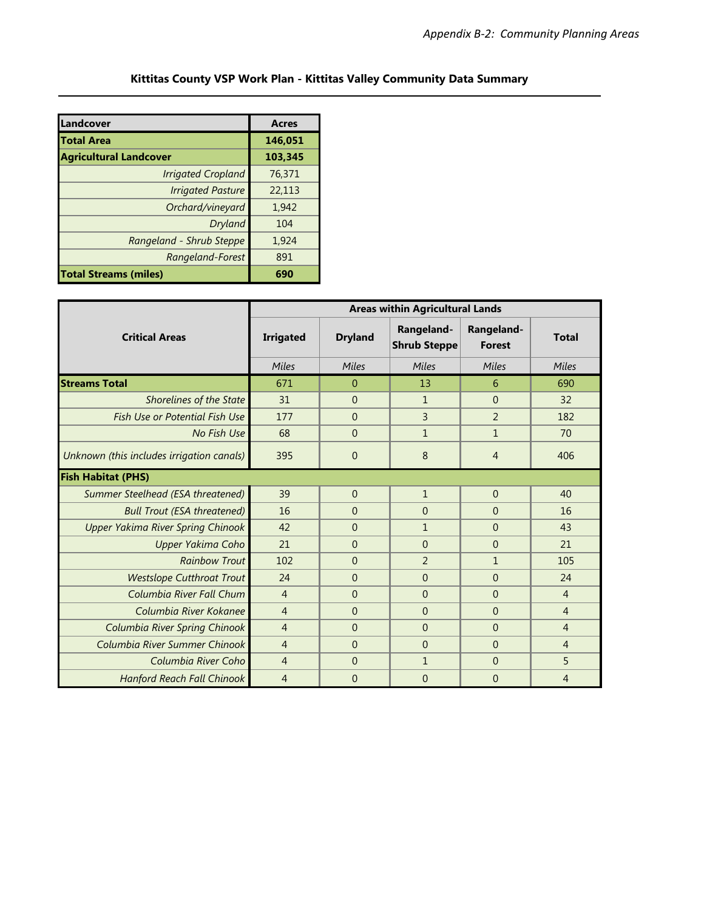### **Kittitas County VSP Work Plan - Kittitas Valley Community Data Summary**

| Landcover                     | <b>Acres</b> |
|-------------------------------|--------------|
| Total Area                    | 146,051      |
| <b>Agricultural Landcover</b> | 103,345      |
| <b>Irrigated Cropland</b>     | 76,371       |
| <b>Irrigated Pasture</b>      | 22,113       |
| Orchard/vineyard              | 1,942        |
| Dryland                       | 104          |
| Rangeland - Shrub Steppe      | 1,924        |
| Rangeland-Forest              | 891          |
| <b>Total Streams (miles)</b>  | 690          |

|                                           | <b>Areas within Agricultural Lands</b> |                     |                                   |                             |                |  |  |
|-------------------------------------------|----------------------------------------|---------------------|-----------------------------------|-----------------------------|----------------|--|--|
| <b>Critical Areas</b>                     | <b>Irrigated</b>                       | <b>Dryland</b>      | Rangeland-<br><b>Shrub Steppe</b> | Rangeland-<br><b>Forest</b> | <b>Total</b>   |  |  |
|                                           | Miles                                  | Miles               | Miles                             | Miles                       | Miles          |  |  |
| <b>Streams Total</b>                      | 671                                    | $\Omega$            | 13                                | 6                           | 690            |  |  |
| <b>Shorelines of the State</b>            | 31                                     | $\overline{0}$      | $\mathbf{1}$                      | $\overline{0}$              | 32             |  |  |
| Fish Use or Potential Fish Use            | 177                                    | $\Omega$            | $\overline{3}$                    | $\overline{2}$              | 182            |  |  |
| No Fish Use                               | 68                                     | $\Omega$            | $\mathbf{1}$                      | $\mathbf{1}$                | 70             |  |  |
| Unknown (this includes irrigation canals) | 395                                    | 8<br>$\overline{0}$ |                                   | 4                           | 406            |  |  |
| <b>Fish Habitat (PHS)</b>                 |                                        |                     |                                   |                             |                |  |  |
| Summer Steelhead (ESA threatened)         | 39                                     | $\overline{0}$      | $\mathbf{1}$                      | $\overline{0}$              | 40             |  |  |
| <b>Bull Trout (ESA threatened)</b>        | 16                                     | $\Omega$            | $\Omega$                          | $\theta$                    | 16             |  |  |
| <b>Upper Yakima River Spring Chinook</b>  | 42                                     | $\Omega$            | $\mathbf{1}$                      | $\overline{0}$              | 43             |  |  |
| Upper Yakima Coho                         | 21                                     | $\Omega$            | $\Omega$                          | $\theta$                    | 21             |  |  |
| <b>Rainbow Trout</b>                      | 102                                    | $\Omega$            | $\overline{2}$                    | $\mathbf{1}$                | 105            |  |  |
| <b>Westslope Cutthroat Trout</b>          | 24                                     | $\Omega$            | $\overline{0}$                    | $\overline{0}$              | 24             |  |  |
| Columbia River Fall Chum                  | $\overline{4}$                         | $\Omega$            | $\Omega$                          | $\Omega$                    | $\overline{4}$ |  |  |
| Columbia River Kokanee                    | $\overline{4}$                         | $\Omega$            | $\Omega$                          | $\theta$                    | $\overline{4}$ |  |  |
| Columbia River Spring Chinook             | $\overline{4}$                         | $\Omega$            | $\Omega$                          | $\overline{0}$              | $\overline{4}$ |  |  |
| Columbia River Summer Chinook             | $\overline{4}$                         | $\Omega$            | $\Omega$                          | $\overline{0}$              | $\overline{4}$ |  |  |
| Columbia River Coho                       | $\overline{4}$                         | $\Omega$            | $\mathbf{1}$                      | $\overline{0}$              | 5              |  |  |
| <b>Hanford Reach Fall Chinook</b>         | $\overline{4}$                         | $\overline{0}$      | $\overline{0}$                    | $\overline{0}$              | $\overline{4}$ |  |  |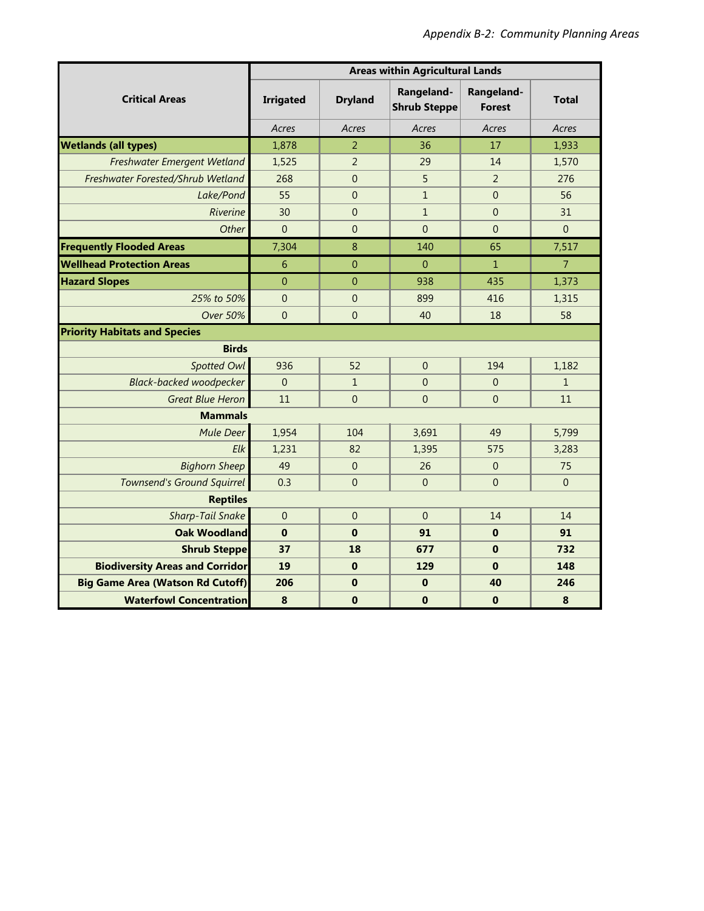|                                         | <b>Areas within Agricultural Lands</b> |                |                                   |                             |                |  |
|-----------------------------------------|----------------------------------------|----------------|-----------------------------------|-----------------------------|----------------|--|
| <b>Critical Areas</b>                   | <b>Irrigated</b>                       | <b>Dryland</b> | Rangeland-<br><b>Shrub Steppe</b> | Rangeland-<br><b>Forest</b> | <b>Total</b>   |  |
|                                         | Acres                                  | Acres          | Acres                             | Acres                       | Acres          |  |
| <b>Wetlands (all types)</b>             | 1,878                                  | $\overline{2}$ | 36                                | 17                          | 1,933          |  |
| Freshwater Emergent Wetland             | 1,525                                  | $\overline{2}$ | 29                                | 14                          | 1,570          |  |
| Freshwater Forested/Shrub Wetland       | 268                                    | $\theta$       | 5                                 | $\overline{2}$              | 276            |  |
| Lake/Pond                               | 55                                     | $\mathbf 0$    | $\mathbf{1}$                      | $\mathbf{0}$                | 56             |  |
| Riverine                                | 30                                     | $\mathbf{0}$   | $\mathbf{1}$                      | $\overline{0}$              | 31             |  |
| Other                                   | $\overline{0}$                         | $\theta$       | $\mathbf{0}$                      | $\overline{0}$              | $\mathbf{0}$   |  |
| <b>Frequently Flooded Areas</b>         | 7,304                                  | 8              | 140                               | 65                          | 7,517          |  |
| <b>Wellhead Protection Areas</b>        | 6                                      | $\overline{0}$ | $\overline{0}$                    | $\mathbf{1}$                | $\overline{7}$ |  |
| <b>Hazard Slopes</b>                    | $\mathbf 0$                            | $\mathbf{0}$   | 938                               | 435                         | 1,373          |  |
| 25% to 50%                              | $\overline{0}$                         | $\overline{0}$ | 899                               | 416                         | 1,315          |  |
| <b>Over 50%</b>                         | $\overline{0}$                         | $\overline{0}$ | 40                                | 18                          | 58             |  |
| <b>Priority Habitats and Species</b>    |                                        |                |                                   |                             |                |  |
| <b>Birds</b>                            |                                        |                |                                   |                             |                |  |
| Spotted Owl                             | 936                                    | 52             | $\Omega$                          | 194                         | 1,182          |  |
| <b>Black-backed woodpecker</b>          | $\overline{0}$                         | $\mathbf{1}$   | $\overline{0}$                    | $\boldsymbol{0}$            | $\mathbf{1}$   |  |
| <b>Great Blue Heron</b>                 | 11                                     | $\mathbf{0}$   |                                   | $\overline{0}$              | 11             |  |
| <b>Mammals</b>                          |                                        |                |                                   |                             |                |  |
| <b>Mule Deer</b>                        | 1,954                                  | 104            | 3,691                             | 49                          | 5,799          |  |
| Elk                                     | 1,231                                  | 82             | 1,395                             | 575                         | 3,283          |  |
| <b>Bighorn Sheep</b>                    | 49                                     | $\Omega$       | 26                                | $\boldsymbol{0}$            | 75             |  |
| <b>Townsend's Ground Squirrel</b>       | 0.3                                    | $\mathbf 0$    | $\mathbf{0}$                      | $\mathbf 0$                 | $\mathbf 0$    |  |
| <b>Reptiles</b>                         |                                        |                |                                   |                             |                |  |
| <b>Sharp-Tail Snake</b>                 | $\mathbf{0}$                           | $\mathbf 0$    | $\mathbf{0}$                      | 14                          | 14             |  |
| <b>Oak Woodland</b>                     | $\mathbf 0$                            | $\mathbf 0$    | 91                                | $\bf{0}$                    | 91             |  |
| <b>Shrub Steppe</b>                     | 37                                     | 18             | 677                               | $\bf{0}$                    | 732            |  |
| <b>Biodiversity Areas and Corridor</b>  | 19                                     | $\bf{0}$       | 129                               | $\bf{0}$                    | 148            |  |
| <b>Big Game Area (Watson Rd Cutoff)</b> | 206                                    | $\bf{0}$       | $\bf{0}$                          | 40                          | 246            |  |
| <b>Waterfowl Concentration</b>          | 8                                      | $\mathbf 0$    | $\mathbf 0$                       | $\mathbf 0$                 | 8              |  |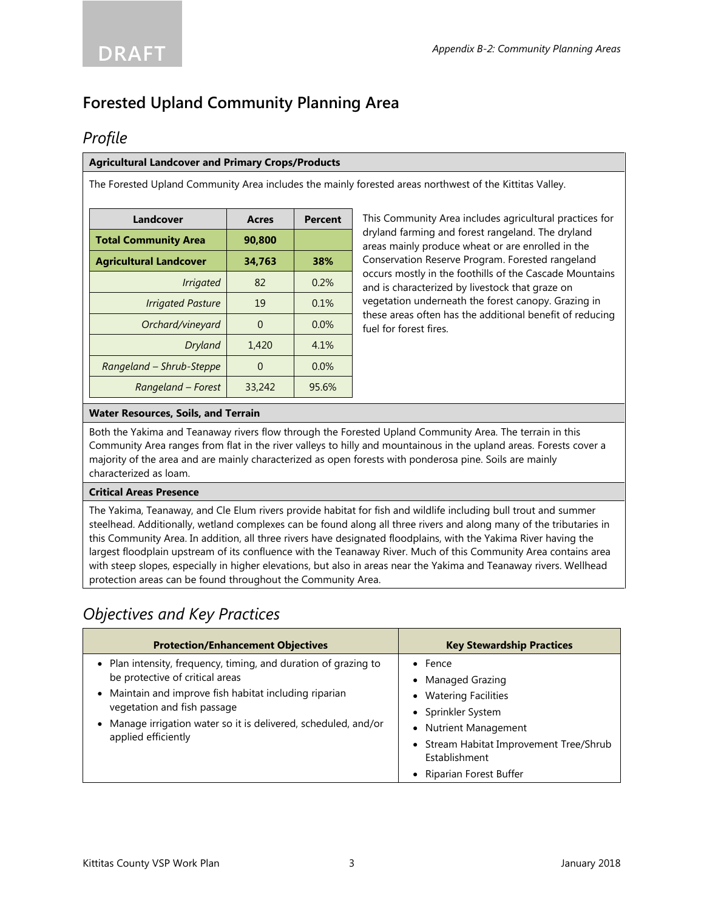# **Forested Upland Community Planning Area**

## *Profile*

#### **Agricultural Landcover and Primary Crops/Products**

The Forested Upland Community Area includes the mainly forested areas northwest of the Kittitas Valley.

| Landcover                     | <b>Acres</b> | <b>Percent</b> |  |  |
|-------------------------------|--------------|----------------|--|--|
| <b>Total Community Area</b>   | 90,800       |                |  |  |
| <b>Agricultural Landcover</b> | 34.763       | 38%            |  |  |
| <b>Irrigated</b>              | 82           | 0.2%           |  |  |
| <b>Irrigated Pasture</b>      | 19           | 0.1%           |  |  |
| Orchard/vineyard              | $\Omega$     | 0.0%           |  |  |
| Dryland                       | 1,420        | 4.1%           |  |  |
| Rangeland - Shrub-Steppe      | $\Omega$     | 0.0%           |  |  |
| Rangeland – Forest            | 33,242       | 95.6%          |  |  |

This Community Area includes agricultural practices for dryland farming and forest rangeland. The dryland areas mainly produce wheat or are enrolled in the Conservation Reserve Program. Forested rangeland occurs mostly in the foothills of the Cascade Mountains and is characterized by livestock that graze on vegetation underneath the forest canopy. Grazing in these areas often has the additional benefit of reducing fuel for forest fires.

#### **Water Resources, Soils, and Terrain**

Both the Yakima and Teanaway rivers flow through the Forested Upland Community Area. The terrain in this Community Area ranges from flat in the river valleys to hilly and mountainous in the upland areas. Forests cover a majority of the area and are mainly characterized as open forests with ponderosa pine. Soils are mainly characterized as loam.

#### **Critical Areas Presence**

The Yakima, Teanaway, and Cle Elum rivers provide habitat for fish and wildlife including bull trout and summer steelhead. Additionally, wetland complexes can be found along all three rivers and along many of the tributaries in this Community Area. In addition, all three rivers have designated floodplains, with the Yakima River having the largest floodplain upstream of its confluence with the Teanaway River. Much of this Community Area contains area with steep slopes, especially in higher elevations, but also in areas near the Yakima and Teanaway rivers. Wellhead protection areas can be found throughout the Community Area.

## *Objectives and Key Practices*

| <b>Protection/Enhancement Objectives</b>                                                                                                                                                                                                                                            | <b>Key Stewardship Practices</b>                                                                                                                                                                     |
|-------------------------------------------------------------------------------------------------------------------------------------------------------------------------------------------------------------------------------------------------------------------------------------|------------------------------------------------------------------------------------------------------------------------------------------------------------------------------------------------------|
| • Plan intensity, frequency, timing, and duration of grazing to<br>be protective of critical areas<br>• Maintain and improve fish habitat including riparian<br>vegetation and fish passage<br>Manage irrigation water so it is delivered, scheduled, and/or<br>applied efficiently | $\bullet$ Fence<br>• Managed Grazing<br>• Watering Facilities<br>• Sprinkler System<br>• Nutrient Management<br>• Stream Habitat Improvement Tree/Shrub<br>Establishment<br>• Riparian Forest Buffer |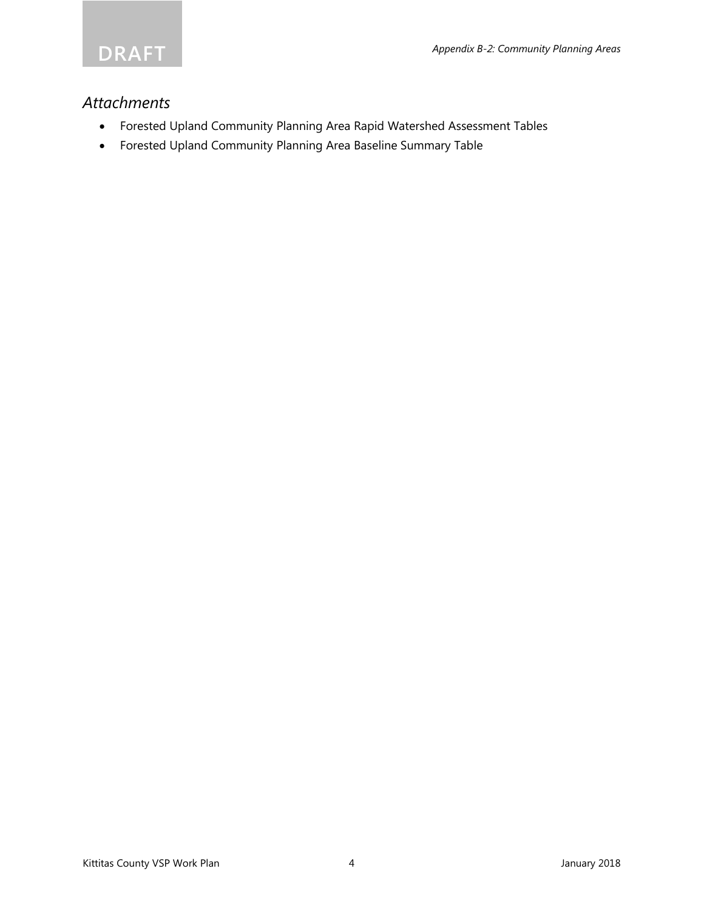

### *Attachments*

- Forested Upland Community Planning Area Rapid Watershed Assessment Tables
- Forested Upland Community Planning Area Baseline Summary Table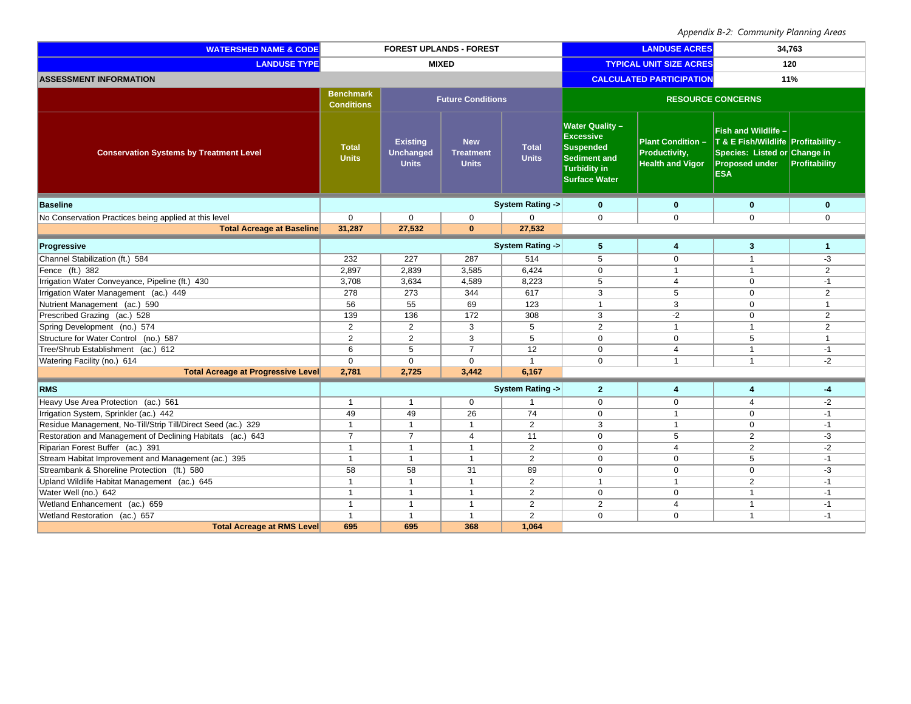| <b>WATERSHED NAME &amp; CODE</b>                             | <b>FOREST UPLANDS - FOREST</b>        |                                                     |                                                |                                | <b>LANDUSE ACRES</b>                                                                                                                |                                                                      | 34,763                                                                                                                            |                |
|--------------------------------------------------------------|---------------------------------------|-----------------------------------------------------|------------------------------------------------|--------------------------------|-------------------------------------------------------------------------------------------------------------------------------------|----------------------------------------------------------------------|-----------------------------------------------------------------------------------------------------------------------------------|----------------|
| <b>LANDUSE TYPE</b>                                          | <b>MIXED</b>                          |                                                     |                                                | <b>TYPICAL UNIT SIZE ACRES</b> |                                                                                                                                     | 120                                                                  |                                                                                                                                   |                |
| <b>ASSESSMENT INFORMATION</b>                                |                                       |                                                     |                                                |                                |                                                                                                                                     | <b>CALCULATED PARTICIPATION</b>                                      | 11%                                                                                                                               |                |
|                                                              | <b>Benchmark</b><br><b>Conditions</b> |                                                     | <b>Future Conditions</b>                       |                                | <b>RESOURCE CONCERNS</b>                                                                                                            |                                                                      |                                                                                                                                   |                |
| <b>Conservation Systems by Treatment Level</b>               | <b>Total</b><br><b>Units</b>          | <b>Existing</b><br><b>Unchanged</b><br><b>Units</b> | <b>New</b><br><b>Treatment</b><br><b>Units</b> | <b>Total</b><br><b>Units</b>   | <b>Water Quality-</b><br><b>Excessive</b><br><b>Suspended</b><br><b>Sediment and</b><br><b>Turbidity in</b><br><b>Surface Water</b> | <b>Plant Condition -</b><br>Productivity,<br><b>Health and Vigor</b> | Fish and Wildlife -<br>T & E Fish/Wildlife Profitability -<br>Species: Listed or Change in<br><b>Proposed under</b><br><b>ESA</b> | Profitability  |
| <b>Baseline</b>                                              |                                       |                                                     |                                                | <b>System Rating -&gt;</b>     | $\mathbf{0}$                                                                                                                        | $\mathbf{0}$                                                         | $\mathbf{0}$                                                                                                                      | $\bf{0}$       |
| No Conservation Practices being applied at this level        | $\mathbf 0$                           | $\mathsf 0$                                         | $\mathbf 0$                                    | $\mathbf 0$                    | $\mathbf 0$                                                                                                                         | $\mathbf 0$                                                          | $\mathbf 0$                                                                                                                       | $\mathbf 0$    |
| <b>Total Acreage at Baseline</b>                             | 31,287                                | 27,532                                              | $\mathbf{0}$                                   | 27,532                         |                                                                                                                                     |                                                                      |                                                                                                                                   |                |
| Progressive                                                  |                                       |                                                     |                                                | System Rating ->               | 5                                                                                                                                   | 4                                                                    | 3                                                                                                                                 | 1              |
| Channel Stabilization (ft.) 584                              | 232                                   | 227                                                 | 287                                            | 514                            | 5                                                                                                                                   | $\mathbf 0$                                                          | $\mathbf{1}$                                                                                                                      | -3             |
| Fence (ft.) 382                                              | 2,897                                 | 2,839                                               | 3,585                                          | 6,424                          | $\mathbf 0$                                                                                                                         | $\overline{1}$                                                       | $\mathbf{1}$                                                                                                                      | $\overline{2}$ |
| Irrigation Water Conveyance, Pipeline (ft.) 430              | 3,708                                 | 3,634                                               | 4,589                                          | 8,223                          | 5                                                                                                                                   | $\overline{4}$                                                       | $\mathbf 0$                                                                                                                       | $-1$           |
| <b>Irrigation Water Management</b> (ac.) 449                 | 278                                   | 273                                                 | 344                                            | 617                            | 3                                                                                                                                   | 5                                                                    | $\mathbf 0$                                                                                                                       | 2              |
| Nutrient Management (ac.) 590                                | 56                                    | 55                                                  | 69                                             | 123                            | $\overline{1}$                                                                                                                      | 3                                                                    | $\mathbf 0$                                                                                                                       | $\mathbf{1}$   |
| Prescribed Grazing (ac.) 528                                 | 139                                   | 136                                                 | 172                                            | 308                            | 3                                                                                                                                   | $-2$                                                                 | $\mathbf 0$                                                                                                                       | $\overline{2}$ |
| Spring Development (no.) 574                                 | $\overline{2}$                        | $\overline{2}$                                      | $\overline{3}$                                 | 5                              | $\overline{2}$                                                                                                                      | $\overline{1}$                                                       | $\mathbf{1}$                                                                                                                      | $\overline{2}$ |
| Structure for Water Control (no.) 587                        | 2                                     | 2                                                   | 3                                              | 5                              | $\mathbf 0$                                                                                                                         | $\mathbf 0$                                                          | 5                                                                                                                                 | $\mathbf{1}$   |
| Tree/Shrub Establishment (ac.) 612                           | 6                                     | 5                                                   | $\overline{7}$                                 | 12                             | $\mathbf 0$                                                                                                                         | $\overline{4}$                                                       | $\mathbf{1}$                                                                                                                      | $-1$           |
| Watering Facility (no.) 614                                  | $\mathbf 0$                           | $\Omega$                                            | $\mathbf 0$                                    | $\mathbf{1}$                   | $\Omega$                                                                                                                            | $\overline{1}$                                                       | $\mathbf{1}$                                                                                                                      | $-2$           |
| <b>Total Acreage at Progressive Level</b>                    | 2,781                                 | 2,725                                               | 3,442                                          | 6,167                          |                                                                                                                                     |                                                                      |                                                                                                                                   |                |
| <b>RMS</b>                                                   |                                       |                                                     |                                                | <b>System Rating -&gt;</b>     | $\overline{2}$                                                                                                                      | 4                                                                    | 4                                                                                                                                 | -4             |
| Heavy Use Area Protection (ac.) 561                          | $\overline{1}$                        | $\overline{1}$                                      | $\mathbf 0$                                    | $\mathbf{1}$                   | $\mathbf 0$                                                                                                                         | $\mathbf 0$                                                          | 4                                                                                                                                 | $-2$           |
| Irrigation System, Sprinkler (ac.) 442                       | 49                                    | 49                                                  | $\overline{26}$                                | 74                             | $\overline{0}$                                                                                                                      | $\overline{1}$                                                       | $\Omega$                                                                                                                          | $-1$           |
| Residue Management, No-Till/Strip Till/Direct Seed (ac.) 329 | $\mathbf{1}$                          | $\overline{1}$                                      | $\mathbf{1}$                                   | 2                              | 3                                                                                                                                   | $\overline{1}$                                                       | $\mathbf 0$                                                                                                                       | $-1$           |
| Restoration and Management of Declining Habitats (ac.) 643   | $\overline{7}$                        | $\overline{7}$                                      | $\overline{4}$                                 | 11                             | $\mathbf 0$                                                                                                                         | 5                                                                    | 2                                                                                                                                 | -3             |
| Riparian Forest Buffer (ac.) 391                             | $\mathbf{1}$                          | $\overline{1}$                                      | $\mathbf{1}$                                   | 2                              | $\mathbf 0$                                                                                                                         | $\overline{4}$                                                       | 2                                                                                                                                 | $-2$           |
| Stream Habitat Improvement and Management (ac.) 395          | $\mathbf{1}$                          | $\overline{1}$                                      | $\mathbf{1}$                                   | $\overline{2}$                 | $\overline{0}$                                                                                                                      | $\mathbf 0$                                                          | 5                                                                                                                                 | $-1$           |
| Streambank & Shoreline Protection (ft.) 580                  | 58                                    | 58                                                  | 31                                             | 89                             | $\mathbf 0$                                                                                                                         | $\mathbf 0$                                                          | $\mathbf 0$                                                                                                                       | -3             |
| Upland Wildlife Habitat Management (ac.) 645                 | $\mathbf{1}$                          | $\overline{1}$                                      | $\mathbf{1}$                                   | $\overline{2}$                 | $\overline{1}$                                                                                                                      | $\mathbf{1}$                                                         | $\overline{2}$                                                                                                                    | $-1$           |
| Water Well (no.) 642                                         | $\mathbf{1}$                          | $\overline{1}$                                      | $\mathbf{1}$                                   | $\overline{2}$                 | $\mathbf 0$                                                                                                                         | $\mathbf 0$                                                          | $\mathbf{1}$                                                                                                                      | $-1$           |
| Wetland Enhancement (ac.) 659                                | $\mathbf{1}$                          | $\overline{1}$                                      | $\mathbf{1}$                                   | 2                              | 2                                                                                                                                   | $\overline{4}$                                                       | $\mathbf{1}$                                                                                                                      | $-1$           |
| Wetland Restoration (ac.) 657                                | $\mathbf{1}$                          | $\overline{1}$                                      | $\mathbf{1}$                                   | 2                              | $\Omega$                                                                                                                            | $\Omega$                                                             | $\mathbf{1}$                                                                                                                      | $-1$           |
| <b>Total Acreage at RMS Level</b>                            | 695                                   | 695                                                 | 368                                            | 1.064                          |                                                                                                                                     |                                                                      |                                                                                                                                   |                |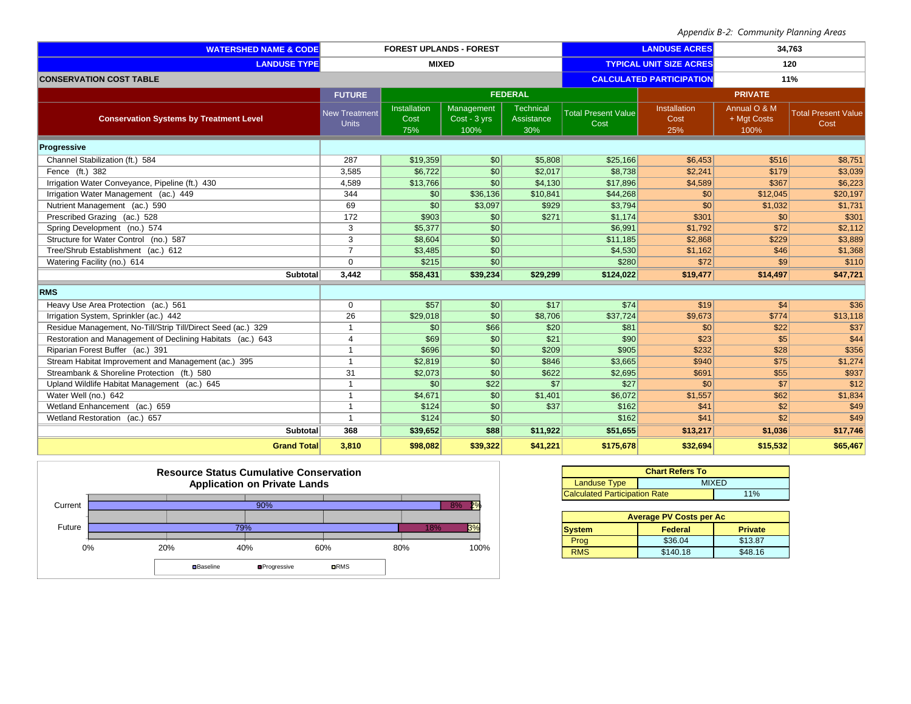| <b>WATERSHED NAME &amp; CODE</b>                             | <b>FOREST UPLANDS - FOREST</b>       |                             |                                    | <b>LANDUSE ACRES</b>           |                                    | 34,763                          |                                     |                                    |
|--------------------------------------------------------------|--------------------------------------|-----------------------------|------------------------------------|--------------------------------|------------------------------------|---------------------------------|-------------------------------------|------------------------------------|
| <b>LANDUSE TYPE</b>                                          | <b>MIXED</b>                         |                             |                                    | <b>TYPICAL UNIT SIZE ACRES</b> |                                    | 120                             |                                     |                                    |
| <b>CONSERVATION COST TABLE</b>                               |                                      |                             |                                    |                                |                                    | <b>CALCULATED PARTICIPATION</b> |                                     | 11%                                |
|                                                              | <b>FUTURE</b>                        |                             |                                    | <b>FEDERAL</b>                 |                                    |                                 | <b>PRIVATE</b>                      |                                    |
| <b>Conservation Systems by Treatment Level</b>               | <b>New Treatment</b><br><b>Units</b> | Installation<br>Cost<br>75% | Management<br>Cost - 3 yrs<br>100% | Technical<br>Assistance<br>30% | <b>Total Present Value</b><br>Cost | Installation<br>Cost<br>25%     | Annual O & M<br>+ Mgt Costs<br>100% | <b>Total Present Value</b><br>Cost |
| <b>Progressive</b>                                           |                                      |                             |                                    |                                |                                    |                                 |                                     |                                    |
| Channel Stabilization (ft.) 584                              | 287                                  | \$19,359                    | $\vert$ so $\vert$                 | \$5,808                        | \$25,166                           | \$6.453                         | \$516                               | \$8,751                            |
| Fence (ft.) 382                                              | 3,585                                | \$6,722                     | SO <sub>2</sub>                    | \$2,017                        | \$8.738                            | \$2.241                         | \$179                               | \$3,039                            |
| Irrigation Water Conveyance, Pipeline (ft.) 430              | 4,589                                | \$13,766                    | \$0                                | \$4,130                        | \$17,896                           | \$4,589                         | \$367                               | \$6,223                            |
| Irrigation Water Management (ac.) 449                        | 344                                  | \$0                         | \$36,136                           | \$10,841                       | \$44,268                           | \$0                             | \$12,045                            | \$20,197                           |
| Nutrient Management (ac.) 590                                | 69                                   | \$0                         | \$3,097                            | \$929                          | \$3,794                            | \$0                             | \$1,032                             | \$1,731                            |
| Prescribed Grazing (ac.) 528                                 | 172                                  | \$903                       | $\mathcal{S}$                      | \$271                          | \$1,174                            | \$301                           | $\vert$ \$0                         | \$301                              |
| Spring Development (no.) 574                                 | 3                                    | \$5,377                     | $\mathcal{S}$                      |                                | \$6,991                            | \$1,792                         | \$72                                | \$2,112                            |
| Structure for Water Control (no.) 587                        | 3                                    | \$8,604                     | $\overline{30}$                    |                                | \$11,185                           | \$2,868                         | \$229                               | \$3,889                            |
| Tree/Shrub Establishment (ac.) 612                           | $\overline{7}$                       | \$3,485                     | $\vert \mathsf{S}0 \vert$          |                                | \$4,530                            | \$1,162                         | \$46                                | \$1,368                            |
| Watering Facility (no.) 614                                  | $\Omega$                             | \$215                       | S <sub>0</sub>                     |                                | \$280                              | \$72                            | s <sub>9</sub>                      | \$110                              |
| <b>Subtotal</b>                                              | 3,442                                | \$58,431                    | \$39,234                           | \$29,299                       | \$124,022                          | \$19,477                        | \$14,497                            | \$47,721                           |
| <b>RMS</b>                                                   |                                      |                             |                                    |                                |                                    |                                 |                                     |                                    |
| Heavy Use Area Protection (ac.) 561                          | $\mathbf 0$                          | \$57                        | $\frac{1}{20}$                     | \$17                           | \$74                               | \$19                            | \$4                                 | \$36                               |
| Irrigation System, Sprinkler (ac.) 442                       | 26                                   | \$29,018                    | S <sub>0</sub>                     | \$8,706                        | \$37,724                           | \$9,673                         | \$774                               | \$13,118                           |
| Residue Management, No-Till/Strip Till/Direct Seed (ac.) 329 | $\overline{1}$                       | \$0                         | \$66                               | \$20                           | \$81                               | \$0                             | \$22                                | \$37                               |
| Restoration and Management of Declining Habitats (ac.) 643   | $\overline{4}$                       | \$69                        | \$0                                | \$21                           | \$90                               | \$23                            | s <sub>5</sub>                      | \$44                               |
| Riparian Forest Buffer (ac.) 391                             | $\mathbf{1}$                         | \$696                       | $\overline{30}$                    | \$209                          | \$905                              | \$232                           | \$28                                | \$356                              |
| Stream Habitat Improvement and Management (ac.) 395          | $\mathbf{1}$                         | \$2,819                     | $\overline{30}$                    | \$846                          | \$3,665                            | \$940                           | \$75                                | \$1,274                            |
| Streambank & Shoreline Protection (ft.) 580                  | 31                                   | \$2,073                     | SO <sub>2</sub>                    | \$622                          | \$2,695                            | \$691                           | \$55                                | \$937                              |
| Upland Wildlife Habitat Management (ac.) 645                 | $\overline{1}$                       | \$0                         | \$22                               | \$7                            | \$27                               | \$0                             | s7                                  | \$12                               |
| Water Well (no.) 642                                         | $\mathbf{1}$                         | \$4,671                     | \$0                                | \$1,401                        | \$6,072                            | \$1,557                         | \$62                                | \$1,834                            |
| Wetland Enhancement (ac.) 659                                | $\mathbf{1}$                         | \$124                       | $\overline{30}$                    | \$37                           | \$162                              | \$41                            | 32                                  | \$49                               |
| Wetland Restoration (ac.) 657                                | $\mathbf{1}$                         | \$124                       | $\overline{30}$                    |                                | \$162                              | \$41                            | s2                                  | \$49                               |
| Subtotal                                                     | 368                                  | \$39,652                    | \$88                               | \$11,922                       | \$51,655                           | \$13,217                        | \$1,036                             | \$17,746                           |
| <b>Grand Total</b>                                           | 3,810                                | \$98,082                    | \$39,322                           | \$41,221                       | \$175,678                          | \$32,694                        | \$15,532                            | \$65,467                           |



| <b>Chart Refers To</b>               |     |  |  |  |  |
|--------------------------------------|-----|--|--|--|--|
| Landuse Type<br><b>MIXED</b>         |     |  |  |  |  |
| <b>Calculated Participation Rate</b> | 11% |  |  |  |  |

| <b>Average PV Costs per Ac</b> |          |                |  |  |  |  |  |
|--------------------------------|----------|----------------|--|--|--|--|--|
| <b>System</b>                  | Federal  | <b>Private</b> |  |  |  |  |  |
| Prog                           | \$36.04  | \$13.87        |  |  |  |  |  |
| <b>RMS</b>                     | \$140.18 | \$48.16        |  |  |  |  |  |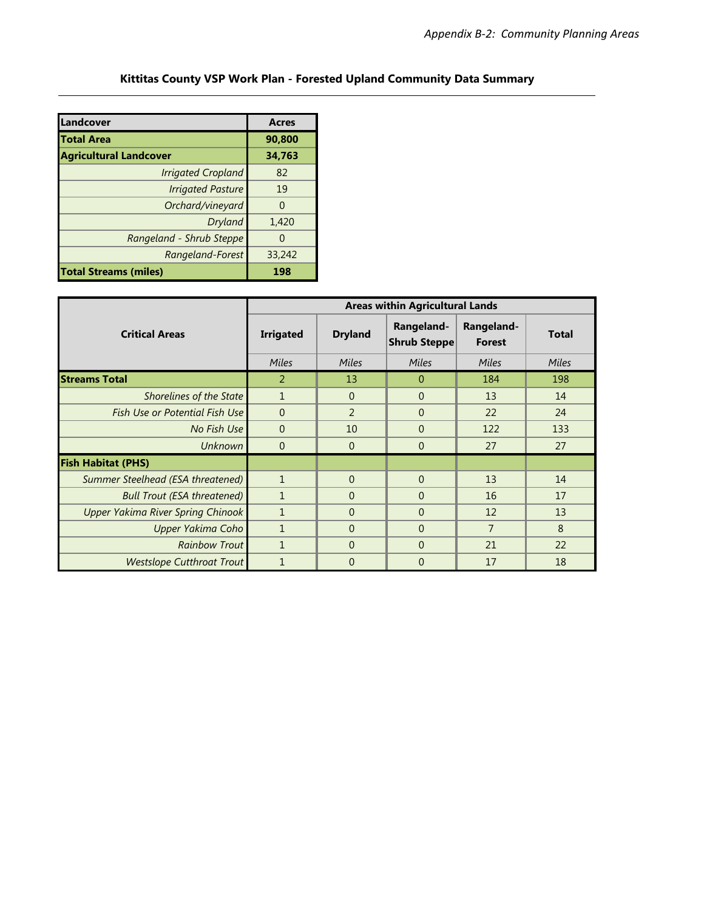### **Kittitas County VSP Work Plan - Forested Upland Community Data Summary**

| Landcover                     | <b>Acres</b> |
|-------------------------------|--------------|
| Total Area                    | 90,800       |
| <b>Agricultural Landcover</b> | 34,763       |
| <b>Irrigated Cropland</b>     | 82           |
| <b>Irrigated Pasture</b>      | 19           |
| Orchard/vineyard              |              |
| Dryland                       | 1,420        |
| Rangeland - Shrub Steppe      |              |
| Rangeland-Forest              | 33,242       |
| <b>Total Streams (miles)</b>  | 198          |

|                                          |                  | <b>Areas within Agricultural Lands</b> |                                   |                             |              |  |  |  |
|------------------------------------------|------------------|----------------------------------------|-----------------------------------|-----------------------------|--------------|--|--|--|
| <b>Critical Areas</b>                    | <b>Irrigated</b> | <b>Dryland</b>                         | Rangeland-<br><b>Shrub Steppe</b> | Rangeland-<br><b>Forest</b> | <b>Total</b> |  |  |  |
|                                          | Miles            | Miles                                  | Miles                             | Miles                       | Miles        |  |  |  |
| <b>Streams Total</b>                     | 2                | 13                                     | $\Omega$                          | 184                         | 198          |  |  |  |
| Shorelines of the State                  | $\mathbf{1}$     | $\Omega$                               | $\Omega$                          | 13                          | 14           |  |  |  |
| <b>Fish Use or Potential Fish Use</b>    | $\Omega$         | 2                                      | $\Omega$                          | 22                          | 24           |  |  |  |
| No Fish Use                              | $\Omega$         | 10                                     | $\Omega$                          | 122                         | 133          |  |  |  |
| <b>Unknown</b>                           | $\Omega$         | $\Omega$                               | $\Omega$                          | 27                          | 27           |  |  |  |
| <b>Fish Habitat (PHS)</b>                |                  |                                        |                                   |                             |              |  |  |  |
| Summer Steelhead (ESA threatened)        | $\mathbf{1}$     | $\Omega$                               | $\Omega$                          | 13                          | 14           |  |  |  |
| <b>Bull Trout (ESA threatened)</b>       | $\mathbf{1}$     | $\Omega$                               | $\Omega$                          | 16                          | 17           |  |  |  |
| <b>Upper Yakima River Spring Chinook</b> |                  | $\Omega$                               | $\Omega$                          | 12                          | 13           |  |  |  |
| Upper Yakima Coho                        | 1                | $\Omega$                               | $\overline{0}$                    | $\overline{7}$              | 8            |  |  |  |
| <b>Rainbow Trout</b>                     | $\mathbf{1}$     | $\Omega$                               | $\Omega$                          | 21                          | 22           |  |  |  |
| <b>Westslope Cutthroat Trout</b>         |                  | $\Omega$                               | $\Omega$                          | 17                          | 18           |  |  |  |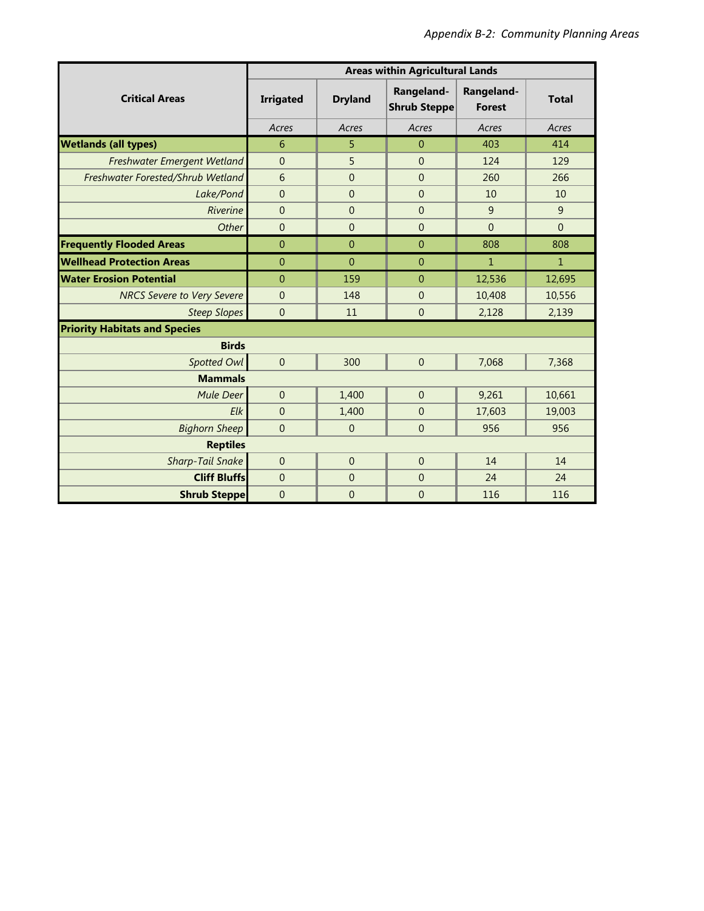|                                      | <b>Areas within Agricultural Lands</b> |                |                                   |                             |              |  |  |
|--------------------------------------|----------------------------------------|----------------|-----------------------------------|-----------------------------|--------------|--|--|
| <b>Critical Areas</b>                | <b>Irrigated</b>                       | <b>Dryland</b> | Rangeland-<br><b>Shrub Steppe</b> | Rangeland-<br><b>Forest</b> | <b>Total</b> |  |  |
|                                      | Acres                                  | Acres          | Acres                             | Acres                       | Acres        |  |  |
| <b>Wetlands (all types)</b>          | 6                                      | 5              | $\overline{0}$                    | 403                         | 414          |  |  |
| Freshwater Emergent Wetland          | $\overline{0}$                         | 5              | $\Omega$                          | 124                         | 129          |  |  |
| Freshwater Forested/Shrub Wetland    | 6                                      | $\overline{0}$ | $\overline{0}$                    | 260                         | 266          |  |  |
| Lake/Pond                            | $\mathbf{0}$                           | $\mathbf{0}$   | $\overline{0}$                    | 10                          | 10           |  |  |
| Riverine                             | $\mathbf{0}$                           | $\mathbf{0}$   | $\overline{0}$                    | 9                           | 9            |  |  |
| Other                                | $\overline{0}$                         | $\mathbf{0}$   | $\overline{0}$                    | $\overline{0}$              | $\Omega$     |  |  |
| <b>Frequently Flooded Areas</b>      | $\overline{0}$                         | $\overline{0}$ | $\overline{0}$                    | 808                         | 808          |  |  |
| <b>Wellhead Protection Areas</b>     | $\mathbf{0}$                           | $\mathbf{0}$   | $\theta$                          | $\mathbf{1}$                | $\mathbf{1}$ |  |  |
| <b>Water Erosion Potential</b>       | $\overline{0}$                         | 159            | $\mathbf{0}$                      | 12,536                      | 12,695       |  |  |
| <b>NRCS Severe to Very Severe</b>    | $\mathbf{0}$                           | 148            | $\overline{0}$                    | 10,408                      | 10,556       |  |  |
| <b>Steep Slopes</b>                  | $\mathbf{0}$                           | 11             | $\overline{0}$                    | 2,128                       | 2,139        |  |  |
| <b>Priority Habitats and Species</b> |                                        |                |                                   |                             |              |  |  |
| <b>Birds</b>                         |                                        |                |                                   |                             |              |  |  |
| Spotted Owl                          | $\overline{0}$                         | 300            | $\overline{0}$                    | 7,068                       | 7,368        |  |  |
| <b>Mammals</b>                       |                                        |                |                                   |                             |              |  |  |
| Mule Deer                            | $\overline{0}$                         | 1,400          | $\mathbf{0}$                      | 9,261                       | 10,661       |  |  |
| Elk                                  | $\overline{0}$                         | 1,400          | $\overline{0}$                    | 17,603                      | 19,003       |  |  |
| <b>Bighorn Sheep</b>                 | $\overline{0}$                         | $\Omega$       | $\overline{0}$                    | 956                         | 956          |  |  |
| <b>Reptiles</b>                      |                                        |                |                                   |                             |              |  |  |
| <b>Sharp-Tail Snake</b>              | $\mathbf{0}$                           | $\Omega$       | $\mathbf{0}$                      | 14                          | 14           |  |  |
| <b>Cliff Bluffs</b>                  | $\mathbf{0}$                           | $\mathbf{0}$   | $\overline{0}$                    | 24                          | 24           |  |  |
| <b>Shrub Steppe</b>                  | $\mathbf{0}$                           | $\overline{0}$ | $\overline{0}$                    | 116                         | 116          |  |  |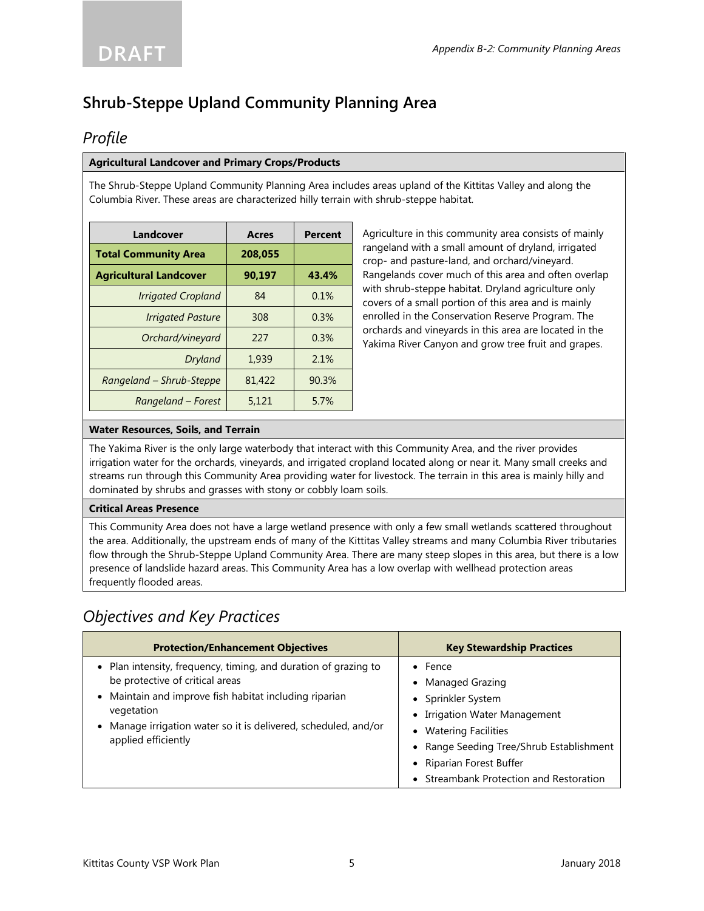# **Shrub-Steppe Upland Community Planning Area**

## *Profile*

#### **Agricultural Landcover and Primary Crops/Products**

The Shrub-Steppe Upland Community Planning Area includes areas upland of the Kittitas Valley and along the Columbia River. These areas are characterized hilly terrain with shrub-steppe habitat.

| Landcover                     | <b>Acres</b> | <b>Percent</b> |
|-------------------------------|--------------|----------------|
| <b>Total Community Area</b>   | 208.055      |                |
| <b>Agricultural Landcover</b> | 90,197       | 43.4%          |
| <b>Irrigated Cropland</b>     | 84           | 0.1%           |
| <b>Irrigated Pasture</b>      | 308          | 0.3%           |
| Orchard/vineyard              | 227          | 0.3%           |
| Dryland                       | 1,939        | 2.1%           |
| Rangeland - Shrub-Steppe      | 81,422       | 90.3%          |
| Rangeland – Forest            | 5,121        | 5.7%           |

Agriculture in this community area consists of mainly rangeland with a small amount of dryland, irrigated crop- and pasture-land, and orchard/vineyard. Rangelands cover much of this area and often overlap with shrub-steppe habitat. Dryland agriculture only covers of a small portion of this area and is mainly enrolled in the Conservation Reserve Program. The orchards and vineyards in this area are located in the Yakima River Canyon and grow tree fruit and grapes.

#### **Water Resources, Soils, and Terrain**

The Yakima River is the only large waterbody that interact with this Community Area, and the river provides irrigation water for the orchards, vineyards, and irrigated cropland located along or near it. Many small creeks and streams run through this Community Area providing water for livestock. The terrain in this area is mainly hilly and dominated by shrubs and grasses with stony or cobbly loam soils.

#### **Critical Areas Presence**

This Community Area does not have a large wetland presence with only a few small wetlands scattered throughout the area. Additionally, the upstream ends of many of the Kittitas Valley streams and many Columbia River tributaries flow through the Shrub-Steppe Upland Community Area. There are many steep slopes in this area, but there is a low presence of landslide hazard areas. This Community Area has a low overlap with wellhead protection areas frequently flooded areas.

## *Objectives and Key Practices*

| <b>Protection/Enhancement Objectives</b>                                                                                                                                                                                                                             | <b>Key Stewardship Practices</b>                                                                                                                                                                                                             |
|----------------------------------------------------------------------------------------------------------------------------------------------------------------------------------------------------------------------------------------------------------------------|----------------------------------------------------------------------------------------------------------------------------------------------------------------------------------------------------------------------------------------------|
| • Plan intensity, frequency, timing, and duration of grazing to<br>be protective of critical areas<br>• Maintain and improve fish habitat including riparian<br>vegetation<br>• Manage irrigation water so it is delivered, scheduled, and/or<br>applied efficiently | $\bullet$ Fence<br>• Managed Grazing<br>• Sprinkler System<br>• Irrigation Water Management<br><b>Watering Facilities</b><br>• Range Seeding Tree/Shrub Establishment<br>• Riparian Forest Buffer<br>• Streambank Protection and Restoration |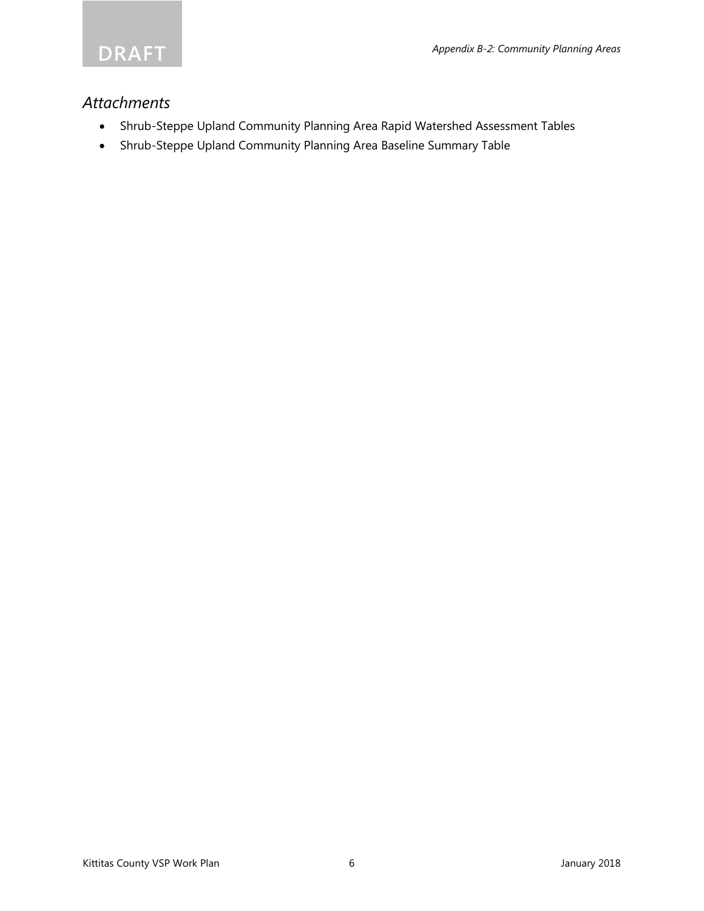

### *Attachments*

- Shrub-Steppe Upland Community Planning Area Rapid Watershed Assessment Tables
- Shrub-Steppe Upland Community Planning Area Baseline Summary Table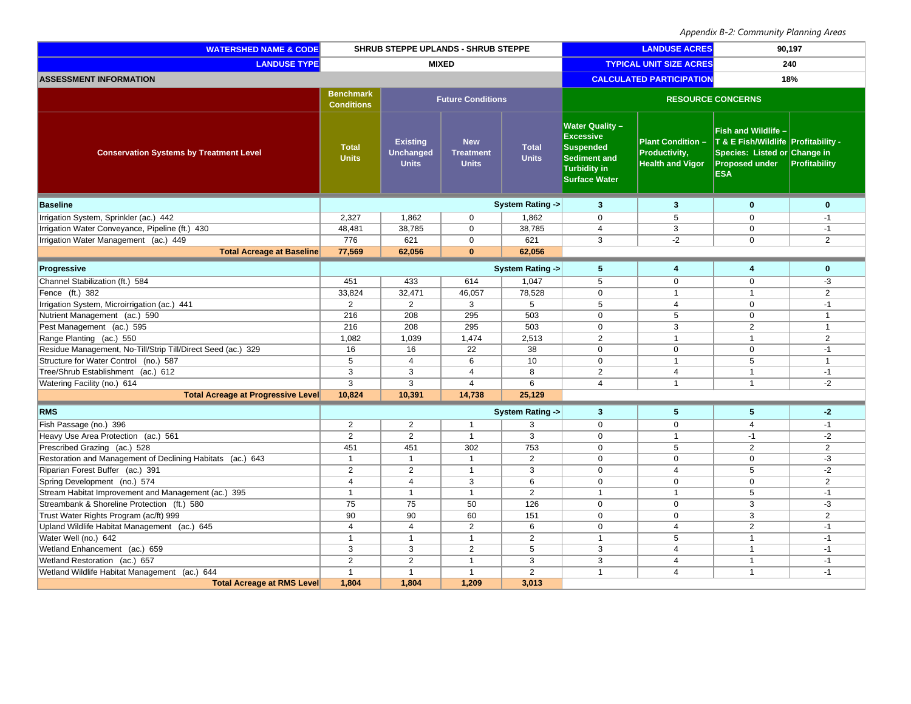| <b>WATERSHED NAME &amp; CODE</b>                             | SHRUB STEPPE UPLANDS - SHRUB STEPPE   |                                                     |                                                |                              | <b>LANDUSE ACRES</b>                                                                                                          |                                                                      | 90,197                                                                                                                                   |                |
|--------------------------------------------------------------|---------------------------------------|-----------------------------------------------------|------------------------------------------------|------------------------------|-------------------------------------------------------------------------------------------------------------------------------|----------------------------------------------------------------------|------------------------------------------------------------------------------------------------------------------------------------------|----------------|
| <b>LANDUSE TYPE</b>                                          | <b>MIXED</b>                          |                                                     |                                                |                              | <b>TYPICAL UNIT SIZE ACRES</b><br>240                                                                                         |                                                                      |                                                                                                                                          |                |
| <b>ASSESSMENT INFORMATION</b>                                | <b>CALCULATED PARTICIPATION</b>       |                                                     |                                                |                              |                                                                                                                               |                                                                      | 18%                                                                                                                                      |                |
|                                                              | <b>Benchmark</b><br><b>Conditions</b> |                                                     | <b>Future Conditions</b>                       |                              | <b>RESOURCE CONCERNS</b>                                                                                                      |                                                                      |                                                                                                                                          |                |
| <b>Conservation Systems by Treatment Level</b>               | <b>Total</b><br><b>Units</b>          | <b>Existing</b><br><b>Unchanged</b><br><b>Units</b> | <b>New</b><br><b>Treatment</b><br><b>Units</b> | <b>Total</b><br><b>Units</b> | <b>Water Quality -</b><br><b>Excessive</b><br><b>Suspended</b><br>Sediment and<br><b>Turbidity in</b><br><b>Surface Water</b> | <b>Plant Condition -</b><br>Productivity,<br><b>Health and Vigor</b> | <b>Fish and Wildlife -</b><br>T & E Fish/Wildlife Profitability -<br>Species: Listed or Change in<br><b>Proposed under</b><br><b>ESA</b> | Profitability  |
| <b>Baseline</b>                                              |                                       |                                                     |                                                | System Rating ->             | $\overline{\mathbf{3}}$                                                                                                       | $\mathbf{3}$                                                         | $\bf{0}$                                                                                                                                 | $\mathbf{0}$   |
| Irrigation System, Sprinkler (ac.) 442                       | 2,327                                 | 1,862                                               | $\mathbf 0$                                    | 1,862                        | $\mathbf 0$                                                                                                                   | 5                                                                    | $\mathbf 0$                                                                                                                              | $-1$           |
| Irrigation Water Conveyance, Pipeline (ft.) 430              | 48,481                                | 38,785                                              | $\mathbf 0$                                    | 38,785                       | $\overline{4}$                                                                                                                | 3                                                                    | $\mathbf 0$                                                                                                                              | $-1$           |
| Irrigation Water Management (ac.) 449                        | 776                                   | 621                                                 | $\mathbf 0$                                    | 621                          | 3                                                                                                                             | $-2$                                                                 | $\Omega$                                                                                                                                 | $\overline{2}$ |
| <b>Total Acreage at Baseline</b>                             | 77,569                                | 62,056                                              | $\mathbf{0}$                                   | 62,056                       |                                                                                                                               |                                                                      |                                                                                                                                          |                |
| Progressive                                                  |                                       |                                                     |                                                | System Rating ->             | 5                                                                                                                             | $\overline{4}$                                                       | 4                                                                                                                                        | $\mathbf 0$    |
| Channel Stabilization (ft.) 584                              | 451                                   | 433                                                 | 614                                            | 1,047                        | 5                                                                                                                             | $\mathbf 0$                                                          | $\mathbf 0$                                                                                                                              | -3             |
| Fence (ft.) 382                                              | 33,824                                | 32,471                                              | 46,057                                         | 78,528                       | $\mathbf 0$                                                                                                                   | $\mathbf{1}$                                                         | $\mathbf{1}$                                                                                                                             | $\overline{2}$ |
| Irrigation System, Microirrigation (ac.) 441                 | $\overline{2}$                        | $\overline{2}$                                      | 3                                              | 5                            | 5                                                                                                                             | $\overline{4}$                                                       | $\Omega$                                                                                                                                 | $-1$           |
| Nutrient Management (ac.) 590                                | 216                                   | 208                                                 | 295                                            | 503                          | $\mathbf 0$                                                                                                                   | 5                                                                    | $\mathbf 0$                                                                                                                              | $\mathbf{1}$   |
| Pest Management (ac.) 595                                    | 216                                   | 208                                                 | 295                                            | 503                          | $\overline{0}$                                                                                                                | $\overline{3}$                                                       | $\overline{2}$                                                                                                                           | $\mathbf{1}$   |
| Range Planting (ac.) 550                                     | 1,082                                 | 1,039                                               | 1,474                                          | 2,513                        | 2                                                                                                                             | $\mathbf{1}$                                                         | $\mathbf{1}$                                                                                                                             | $\overline{2}$ |
| Residue Management, No-Till/Strip Till/Direct Seed (ac.) 329 | 16                                    | 16                                                  | 22                                             | 38                           | $\mathbf 0$                                                                                                                   | $\Omega$                                                             | $\Omega$                                                                                                                                 | $-1$           |
| Structure for Water Control (no.) 587                        | 5                                     | $\overline{4}$                                      | 6                                              | 10                           | $\mathbf 0$                                                                                                                   | $\mathbf{1}$                                                         | 5                                                                                                                                        | $\mathbf{1}$   |
| Tree/Shrub Establishment (ac.) 612                           | 3                                     | 3                                                   | $\overline{4}$                                 | 8                            | $\overline{2}$                                                                                                                | 4                                                                    | $\mathbf{1}$                                                                                                                             | $-1$           |
| Watering Facility (no.) 614                                  | $\overline{3}$                        | $\overline{3}$                                      | $\overline{4}$                                 | 6                            | $\overline{4}$                                                                                                                | $\mathbf{1}$                                                         | $\mathbf{1}$                                                                                                                             | $-2$           |
| <b>Total Acreage at Progressive Level</b>                    | 10,824                                | 10,391                                              | 14,738                                         | 25,129                       |                                                                                                                               |                                                                      |                                                                                                                                          |                |
| <b>RMS</b>                                                   |                                       |                                                     |                                                | System Rating ->             | $\mathbf{3}$                                                                                                                  | 5                                                                    | 5                                                                                                                                        | $-2$           |
| Fish Passage (no.) 396                                       | 2                                     | 2                                                   | $\mathbf{1}$                                   | 3                            | $\mathbf 0$                                                                                                                   | $\mathbf 0$                                                          | $\overline{4}$                                                                                                                           | $-1$           |
| Heavy Use Area Protection (ac.) 561                          | 2                                     | 2                                                   | $\mathbf{1}$                                   | $\overline{3}$               | $\Omega$                                                                                                                      | $\mathbf{1}$                                                         | $-1$                                                                                                                                     | $-2$           |
| Prescribed Grazing (ac.) 528                                 | 451                                   | 451                                                 | 302                                            | 753                          | $\mathbf 0$                                                                                                                   | 5                                                                    | 2                                                                                                                                        | $\overline{2}$ |
| Restoration and Management of Declining Habitats (ac.) 643   | $\mathbf{1}$                          | $\overline{1}$                                      | $\overline{1}$                                 | $\overline{2}$               | $\overline{0}$                                                                                                                | $\overline{0}$                                                       | $\overline{0}$                                                                                                                           | $-3$           |
| Riparian Forest Buffer (ac.) 391                             | 2                                     | 2                                                   | $\mathbf{1}$                                   | 3                            | $\mathbf 0$                                                                                                                   | $\overline{4}$                                                       | 5                                                                                                                                        | $-2$           |
| Spring Development (no.) 574                                 | $\overline{4}$                        | $\overline{4}$                                      | 3                                              | 6                            | $\mathbf 0$                                                                                                                   | $\mathbf 0$                                                          | $\mathbf 0$                                                                                                                              | 2              |
| Stream Habitat Improvement and Management (ac.) 395          | $\mathbf{1}$                          | $\overline{1}$                                      | $\overline{1}$                                 | 2                            | $\mathbf{1}$                                                                                                                  | $\overline{1}$                                                       | 5                                                                                                                                        | $-1$           |
| Streambank & Shoreline Protection (ft.) 580                  | 75                                    | 75                                                  | 50                                             | 126                          | $\mathbf 0$                                                                                                                   | $\mathbf 0$                                                          | 3                                                                                                                                        | -3             |
| Trust Water Rights Program (ac/ft) 999                       | 90                                    | 90                                                  | 60                                             | 151                          | $\mathbf 0$                                                                                                                   | $\mathbf 0$                                                          | 3                                                                                                                                        | $\overline{2}$ |
| Upland Wildlife Habitat Management (ac.) 645                 | $\overline{4}$                        | $\overline{4}$                                      | $\overline{2}$                                 | 6                            | $\mathbf 0$                                                                                                                   | $\overline{4}$                                                       | $\overline{2}$                                                                                                                           | $-1$           |
| Water Well (no.) 642                                         | $\mathbf{1}$                          | $\overline{\mathbf{1}}$                             | $\mathbf{1}$                                   | $\overline{2}$               | $\mathbf{1}$                                                                                                                  | 5                                                                    | $\mathbf{1}$                                                                                                                             | $-1$           |
| Wetland Enhancement (ac.) 659                                | 3                                     | 3                                                   | 2                                              | 5                            | 3                                                                                                                             | $\overline{4}$                                                       | $\mathbf{1}$                                                                                                                             | $-1$           |
| Wetland Restoration (ac.) 657                                | $\overline{2}$                        | 2                                                   | $\mathbf{1}$                                   | 3                            | 3                                                                                                                             | 4                                                                    | $\mathbf{1}$                                                                                                                             | $-1$           |
| Wetland Wildlife Habitat Management (ac.) 644                | $\mathbf{1}$                          | $\overline{1}$                                      | $\overline{1}$                                 | $\overline{2}$               | $\mathbf{1}$                                                                                                                  | $\overline{4}$                                                       | $\mathbf{1}$                                                                                                                             | $-1$           |
| <b>Total Acreage at RMS Level</b>                            | 1,804                                 | 1,804                                               | 1,209                                          | 3,013                        |                                                                                                                               |                                                                      |                                                                                                                                          |                |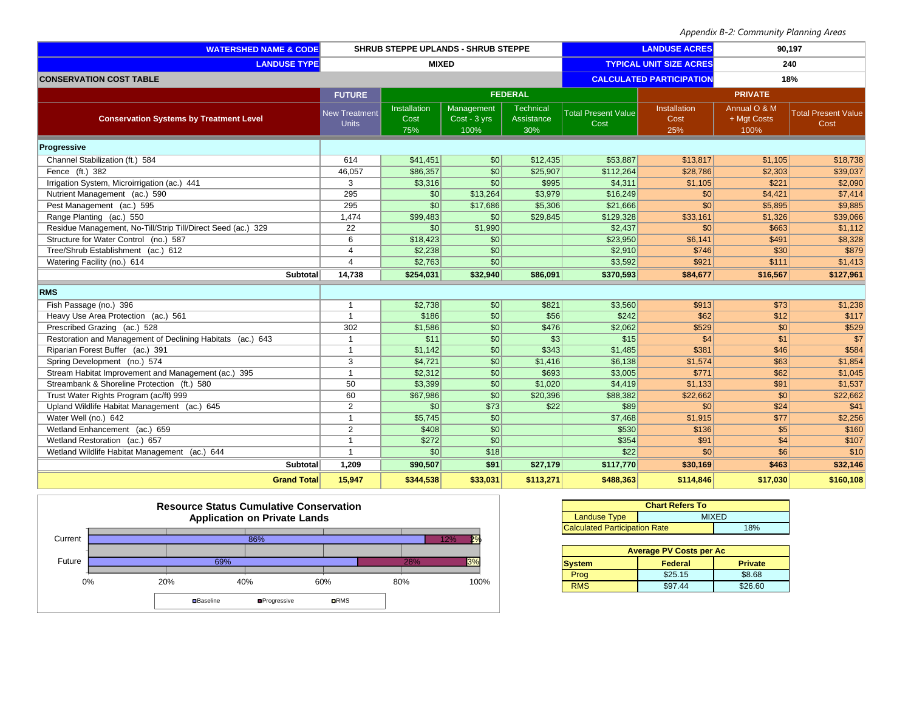| <b>WATERSHED NAME &amp; CODE</b>                             | <b>SHRUB STEPPE UPLANDS - SHRUB STEPPE</b> |                             | <b>LANDUSE ACRES</b>               |                                        | 90,197                             |                             |                                     |                                    |
|--------------------------------------------------------------|--------------------------------------------|-----------------------------|------------------------------------|----------------------------------------|------------------------------------|-----------------------------|-------------------------------------|------------------------------------|
| <b>LANDUSE TYPE</b>                                          | <b>MIXED</b>                               |                             |                                    | <b>TYPICAL UNIT SIZE ACRES</b>         | 240                                |                             |                                     |                                    |
| <b>CONSERVATION COST TABLE</b>                               |                                            |                             |                                    | <b>CALCULATED PARTICIPATION</b><br>18% |                                    |                             |                                     |                                    |
|                                                              | <b>FUTURE</b>                              |                             |                                    | <b>FEDERAL</b>                         |                                    |                             | <b>PRIVATE</b>                      |                                    |
| <b>Conservation Systems by Treatment Level</b>               | <b>New Treatment</b><br><b>Units</b>       | Installation<br>Cost<br>75% | Management<br>Cost - 3 yrs<br>100% | <b>Technical</b><br>Assistance<br>30%  | <b>Total Present Value</b><br>Cost | Installation<br>Cost<br>25% | Annual O & M<br>+ Mgt Costs<br>100% | <b>Total Present Value</b><br>Cost |
| Progressive                                                  |                                            |                             |                                    |                                        |                                    |                             |                                     |                                    |
| Channel Stabilization (ft.) 584                              | 614                                        | \$41,451                    | $\vert$ so $\vert$                 | \$12,435                               | \$53,887                           | \$13,817                    | \$1,105                             | \$18,738                           |
| Fence (ft.) 382                                              | 46,057                                     | \$86,357                    | \$0                                | \$25,907                               | \$112,264                          | \$28,786                    | \$2,303                             | \$39,037                           |
| Irrigation System, Microirrigation (ac.) 441                 | 3                                          | \$3,316                     | \$0                                | \$995                                  | \$4,311                            | \$1,105                     | \$221                               | \$2,090                            |
| Nutrient Management (ac.) 590                                | 295                                        | $\vert \mathsf{S}0 \vert$   | \$13,264                           | \$3,979                                | \$16,249                           | \$0                         | \$4,421                             | \$7,414                            |
| Pest Management (ac.) 595                                    | 295                                        | $\mathcal{S}$               | \$17,686                           | \$5,306                                | \$21,666                           | \$0                         | \$5,895                             | \$9,885                            |
| Range Planting (ac.) 550                                     | 1,474                                      | \$99,483                    | \$0                                | \$29,845                               | \$129,328                          | \$33,161                    | \$1,326                             | \$39,066                           |
| Residue Management, No-Till/Strip Till/Direct Seed (ac.) 329 | 22                                         | $\boldsymbol{\mathsf{S}}$   | \$1,990                            |                                        | \$2,437                            | \$0                         | \$663                               | \$1,112                            |
| Structure for Water Control (no.) 587                        | 6                                          | \$18,423                    | S <sub>0</sub>                     |                                        | \$23,950                           | \$6,141                     | \$491                               | \$8,328                            |
| Tree/Shrub Establishment (ac.) 612                           | $\overline{4}$                             | \$2,238                     | $\sqrt{50}$                        |                                        | \$2,910                            | \$746                       | \$30                                | \$879                              |
| Watering Facility (no.) 614                                  | $\overline{4}$                             | \$2,763                     | S <sub>0</sub>                     |                                        | \$3,592                            | \$921                       | \$111                               | \$1,413                            |
| Subtotal                                                     | 14,738                                     | \$254,031                   | \$32,940                           | \$86,091                               | \$370,593                          | \$84,677                    | \$16,567                            | \$127,961                          |
| <b>RMS</b>                                                   |                                            |                             |                                    |                                        |                                    |                             |                                     |                                    |
| Fish Passage (no.) 396                                       | $\mathbf{1}$                               | \$2,738                     | $\vert$ so $\vert$                 | \$821                                  | \$3,560                            | \$913                       | \$73                                | \$1,238                            |
| Heavy Use Area Protection (ac.) 561                          | $\mathbf{1}$                               | \$186                       | $\sqrt{50}$                        | \$56                                   | \$242                              | \$62                        | \$12                                | \$117                              |
| Prescribed Grazing (ac.) 528                                 | 302                                        | \$1,586                     | \$0                                | \$476                                  | \$2,062                            | \$529                       | $\vert$ \$0                         | \$529                              |
| Restoration and Management of Declining Habitats (ac.) 643   | $\overline{1}$                             | \$11                        | \$0                                | s3                                     | \$15                               | \$4                         | \$1                                 | \$7                                |
| Riparian Forest Buffer (ac.) 391                             | $\mathbf{1}$                               | \$1,142                     | $\vert \mathcal{S}0 \vert$         | \$343                                  | \$1,485                            | \$381                       | \$46                                | \$584                              |
| Spring Development (no.) 574                                 | 3                                          | \$4,721                     | $\vert \mathcal{S}0 \vert$         | \$1,416                                | \$6,138                            | \$1,574                     | \$63                                | \$1,854                            |
| Stream Habitat Improvement and Management (ac.) 395          | $\mathbf{1}$                               | \$2,312                     | \$0                                | \$693                                  | \$3,005                            | \$771                       | \$62                                | \$1,045                            |
| Streambank & Shoreline Protection (ft.) 580                  | 50                                         | \$3,399                     | \$0                                | \$1,020                                | \$4,419                            | \$1,133                     | \$91                                | \$1,537                            |
| Trust Water Rights Program (ac/ft) 999                       | 60                                         | \$67,986                    | S <sub>0</sub>                     | \$20,396                               | \$88,382                           | \$22,662                    | 30                                  | \$22,662                           |
| Upland Wildlife Habitat Management (ac.) 645                 | 2                                          | S <sub>0</sub>              | \$73                               | \$22                                   | \$89                               | \$0                         | \$24                                | \$41                               |
| Water Well (no.) 642                                         | $\mathbf{1}$                               | \$5,745                     | \$0                                |                                        | \$7,468                            | \$1,915                     | \$77                                | \$2,256                            |
| Wetland Enhancement (ac.) 659                                | 2                                          | \$408                       | $\vert \mathsf{S}0 \vert$          |                                        | \$530                              | \$136                       | s <sub>5</sub>                      | \$160                              |
| Wetland Restoration (ac.) 657                                | $\overline{1}$                             | \$272                       | S <sub>0</sub>                     |                                        | \$354                              | \$91                        | \$4                                 | \$107                              |
| Wetland Wildlife Habitat Management (ac.) 644                | $\mathbf{1}$                               | \$0                         | \$18                               |                                        | \$22                               | \$0                         | s6                                  | \$10                               |
| Subtotal                                                     | 1,209                                      | \$90,507                    | \$91                               | \$27,179                               | \$117,770                          | \$30,169                    | \$463                               | \$32,146                           |
| <b>Grand Total</b>                                           | 15,947                                     | \$344,538                   | \$33,031                           | \$113,271                              | \$488,363                          | \$114,846                   | \$17,030                            | \$160,108                          |



| <b>Chart Refers To</b>               |     |  |  |  |
|--------------------------------------|-----|--|--|--|
| <b>Landuse Type</b><br><b>MIXED</b>  |     |  |  |  |
| <b>Calculated Participation Rate</b> | 18% |  |  |  |

| <b>Average PV Costs per Ac</b>             |         |         |  |  |  |  |  |
|--------------------------------------------|---------|---------|--|--|--|--|--|
| Federal<br><b>System</b><br><b>Private</b> |         |         |  |  |  |  |  |
| Prog                                       | \$25.15 | \$8.68  |  |  |  |  |  |
| <b>RMS</b>                                 | \$97.44 | \$26.60 |  |  |  |  |  |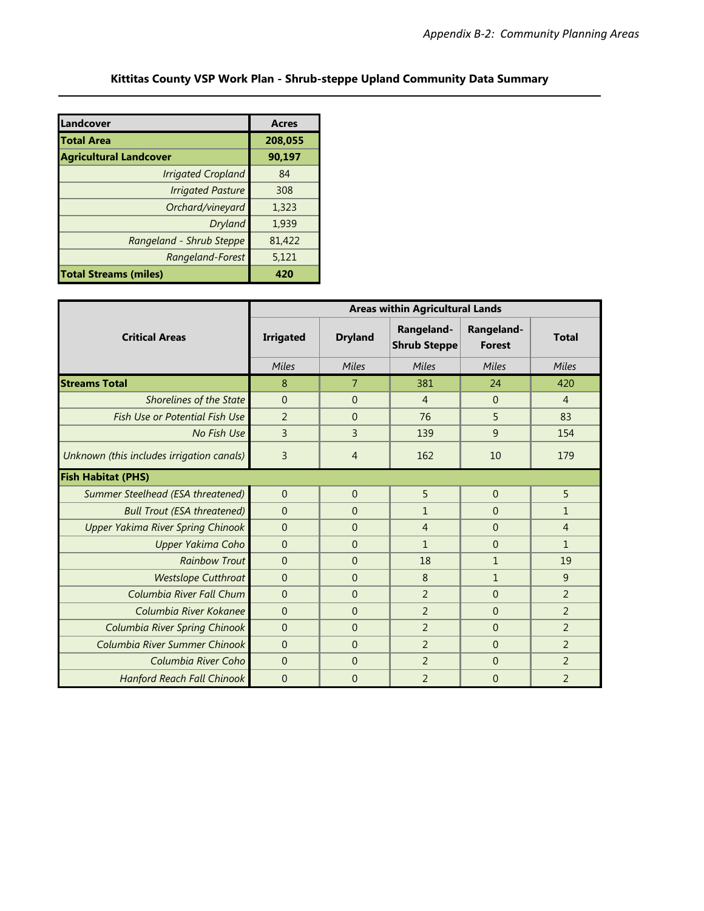| Landcover                     | <b>Acres</b> |
|-------------------------------|--------------|
| <b>Total Area</b>             | 208,055      |
| <b>Agricultural Landcover</b> | 90,197       |
| <b>Irrigated Cropland</b>     | 84           |
| <b>Irrigated Pasture</b>      | 308          |
| Orchard/vineyard              | 1,323        |
| Dryland                       | 1,939        |
| Rangeland - Shrub Steppe      | 81,422       |
| Rangeland-Forest              | 5,121        |
| <b>Total Streams (miles)</b>  | 420          |

|                                           | <b>Areas within Agricultural Lands</b> |                |                                   |                             |                |  |
|-------------------------------------------|----------------------------------------|----------------|-----------------------------------|-----------------------------|----------------|--|
| <b>Critical Areas</b>                     | <b>Irrigated</b>                       | <b>Dryland</b> | Rangeland-<br><b>Shrub Steppe</b> | Rangeland-<br><b>Forest</b> | <b>Total</b>   |  |
|                                           | Miles                                  | Miles          | Miles                             | Miles                       | Miles          |  |
| <b>Streams Total</b>                      | 8                                      | $\overline{7}$ | 381                               | 24                          | 420            |  |
| Shorelines of the State                   | $\Omega$                               | $\Omega$       | $\overline{4}$                    | $\overline{0}$              | $\overline{4}$ |  |
| <b>Fish Use or Potential Fish Use</b>     | $\overline{2}$                         | $\Omega$       | 76                                | 5                           | 83             |  |
| No Fish Use                               | $\overline{3}$                         | $\overline{3}$ | 139                               | 9                           | 154            |  |
| Unknown (this includes irrigation canals) | 3                                      | $\overline{4}$ | 162                               | 10                          | 179            |  |
| <b>Fish Habitat (PHS)</b>                 |                                        |                |                                   |                             |                |  |
| Summer Steelhead (ESA threatened)         | $\overline{0}$                         | $\overline{0}$ | 5                                 | $\overline{0}$              | 5              |  |
| <b>Bull Trout (ESA threatened)</b>        | $\overline{0}$                         | $\Omega$       | $\mathbf{1}$                      | $\theta$                    | $\mathbf{1}$   |  |
| <b>Upper Yakima River Spring Chinook</b>  | $\Omega$                               | $\Omega$       | $\overline{4}$                    | $\theta$                    | $\overline{4}$ |  |
| Upper Yakima Coho                         | $\overline{0}$                         | $\Omega$       | $\mathbf{1}$                      | $\Omega$                    | $\mathbf{1}$   |  |
| <b>Rainbow Trout</b>                      | $\overline{0}$                         | $\Omega$       | 18                                | 1                           | 19             |  |
| <b>Westslope Cutthroat</b>                | $\mathbf{0}$                           | $\Omega$       | 8                                 | $\mathbf{1}$                | 9              |  |
| Columbia River Fall Chum                  | $\overline{0}$                         | $\Omega$       | $\overline{2}$                    | $\theta$                    | 2              |  |
| Columbia River Kokanee                    | $\Omega$                               | $\Omega$       | $\overline{2}$                    | $\overline{0}$              | $\overline{2}$ |  |
| Columbia River Spring Chinook             | $\Omega$                               | $\Omega$       | $\overline{2}$                    | $\overline{0}$              | $\overline{2}$ |  |
| Columbia River Summer Chinook             | $\Omega$                               | $\overline{0}$ | $\overline{2}$                    | $\overline{0}$              | $\overline{2}$ |  |
| Columbia River Coho                       | $\mathbf{0}$                           | $\Omega$       | $\overline{2}$                    | $\overline{0}$              | $\overline{2}$ |  |
| <b>Hanford Reach Fall Chinook</b>         | $\overline{0}$                         | $\overline{0}$ | $\overline{2}$                    | $\overline{0}$              | $\overline{2}$ |  |